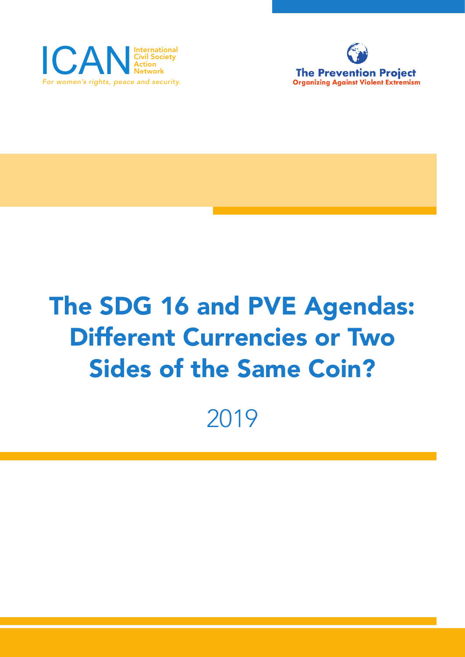



# The SDG 16 and PVE Agendas: Different Currencies or Two Sides of the Same Coin?

2019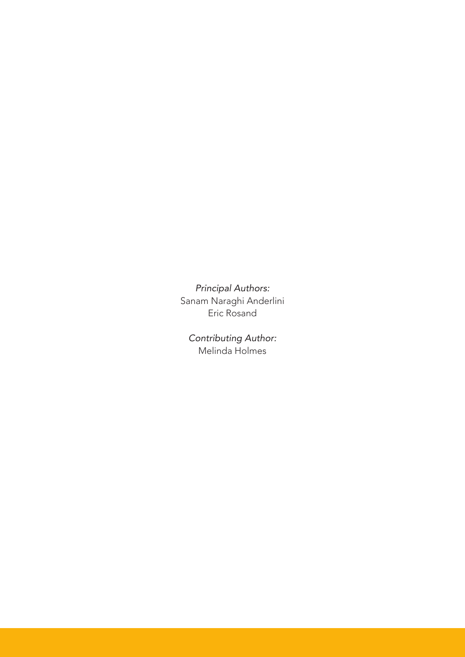*Principal Authors:*  Sanam Naraghi Anderlini Eric Rosand

*Contributing Author:* Melinda Holmes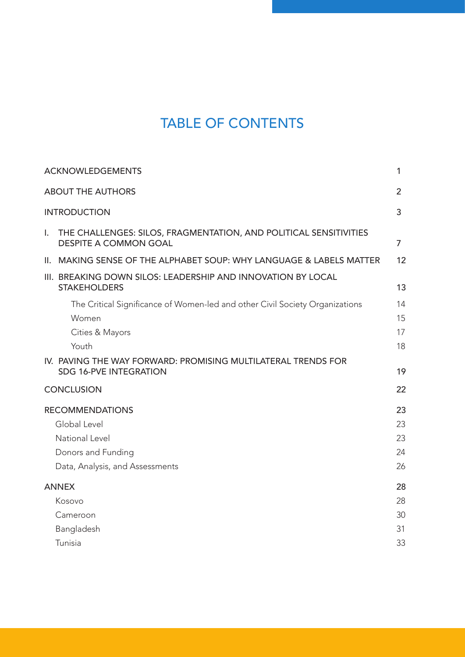# TABLE OF CONTENTS

| <b>ACKNOWLEDGEMENTS</b>                                                                                 | 1              |
|---------------------------------------------------------------------------------------------------------|----------------|
| <b>ABOUT THE AUTHORS</b>                                                                                |                |
| <b>INTRODUCTION</b>                                                                                     | 3              |
| I.<br>THE CHALLENGES: SILOS, FRAGMENTATION, AND POLITICAL SENSITIVITIES<br><b>DESPITE A COMMON GOAL</b> | $\overline{7}$ |
| II. MAKING SENSE OF THE ALPHABET SOUP: WHY LANGUAGE & LABELS MATTER                                     | 12             |
| III. BREAKING DOWN SILOS: LEADERSHIP AND INNOVATION BY LOCAL<br><b>STAKEHOLDERS</b>                     | 13             |
| The Critical Significance of Women-led and other Civil Society Organizations                            | 14             |
| Women                                                                                                   | 15             |
| Cities & Mayors                                                                                         | 17             |
| Youth                                                                                                   | 18             |
| IV. PAVING THE WAY FORWARD: PROMISING MULTILATERAL TRENDS FOR<br><b>SDG 16-PVE INTEGRATION</b>          | 19             |
| <b>CONCLUSION</b>                                                                                       | 22             |
| <b>RECOMMENDATIONS</b>                                                                                  | 23             |
| Global Level                                                                                            | 23             |
| National Level                                                                                          | 23             |
| Donors and Funding                                                                                      | 24             |
| Data, Analysis, and Assessments                                                                         | 26             |
| <b>ANNEX</b>                                                                                            | 28             |
| Kosovo                                                                                                  | 28             |
| Cameroon                                                                                                | 30             |
| Bangladesh                                                                                              | 31             |
| Tunisia                                                                                                 | 33             |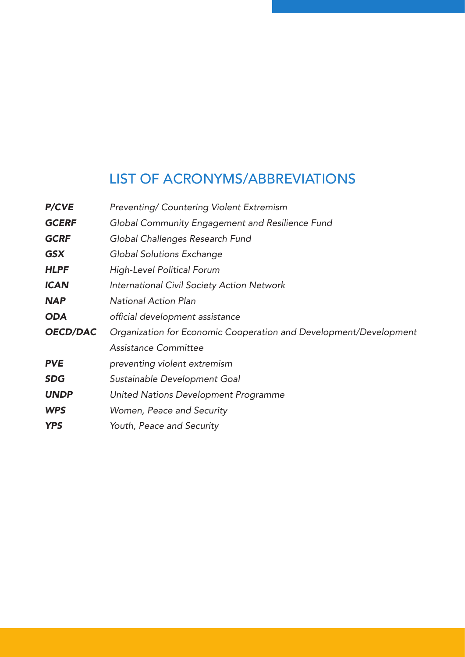# LIST OF ACRONYMS/ABBREVIATIONS

| <b>P/CVE</b>    | Preventing/ Countering Violent Extremism                          |
|-----------------|-------------------------------------------------------------------|
| <b>GCERF</b>    | Global Community Engagement and Resilience Fund                   |
| <b>GCRF</b>     | Global Challenges Research Fund                                   |
| <b>GSX</b>      | Global Solutions Exchange                                         |
| <b>HLPF</b>     | High-Level Political Forum                                        |
| <b>ICAN</b>     | International Civil Society Action Network                        |
| <b>NAP</b>      | <b>National Action Plan</b>                                       |
| <b>ODA</b>      | official development assistance                                   |
| <b>OECD/DAC</b> | Organization for Economic Cooperation and Development/Development |
|                 | Assistance Committee                                              |
| <b>PVE</b>      | preventing violent extremism                                      |
| <b>SDG</b>      | Sustainable Development Goal                                      |
| <b>UNDP</b>     | United Nations Development Programme                              |
| <b>WPS</b>      | Women, Peace and Security                                         |
| <b>YPS</b>      | Youth, Peace and Security                                         |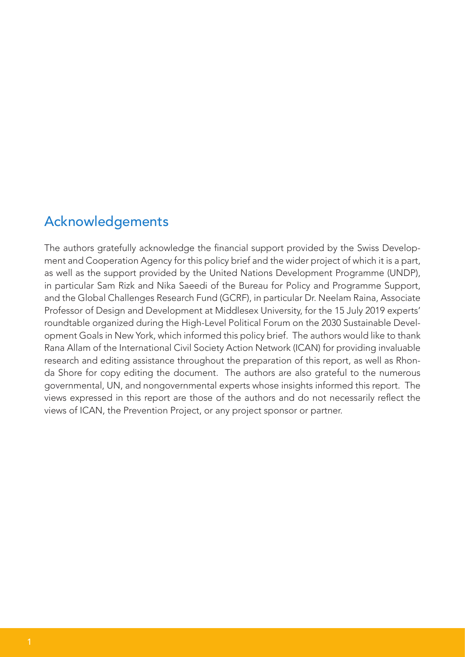# Acknowledgements

The authors gratefully acknowledge the financial support provided by the Swiss Development and Cooperation Agency for this policy brief and the wider project of which it is a part, as well as the support provided by the United Nations Development Programme (UNDP), in particular Sam Rizk and Nika Saeedi of the Bureau for Policy and Programme Support, and the Global Challenges Research Fund (GCRF), in particular Dr. Neelam Raina, Associate Professor of Design and Development at Middlesex University, for the 15 July 2019 experts' roundtable organized during the High-Level Political Forum on the 2030 Sustainable Development Goals in New York, which informed this policy brief. The authors would like to thank Rana Allam of the International Civil Society Action Network (ICAN) for providing invaluable research and editing assistance throughout the preparation of this report, as well as Rhonda Shore for copy editing the document. The authors are also grateful to the numerous governmental, UN, and nongovernmental experts whose insights informed this report. The views expressed in this report are those of the authors and do not necessarily reflect the views of ICAN, the Prevention Project, or any project sponsor or partner.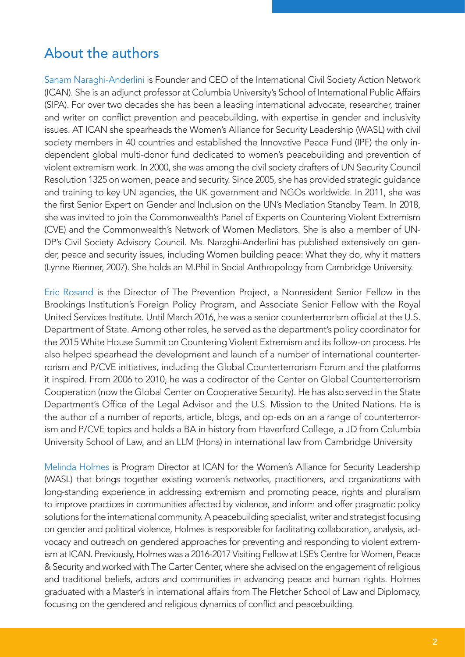# About the authors

Sanam Naraghi-Anderlini is Founder and CEO of the International Civil Society Action Network (ICAN). She is an adjunct professor at Columbia University's School of International Public Affairs (SIPA). For over two decades she has been a leading international advocate, researcher, trainer and writer on conflict prevention and peacebuilding, with expertise in gender and inclusivity issues. AT ICAN she spearheads the Women's Alliance for Security Leadership (WASL) with civil society members in 40 countries and established the Innovative Peace Fund (IPF) the only independent global multi-donor fund dedicated to women's peacebuilding and prevention of violent extremism work. In 2000, she was among the civil society drafters of UN Security Council Resolution 1325 on women, peace and security. Since 2005, she has provided strategic guidance and training to key UN agencies, the UK government and NGOs worldwide. In 2011, she was the first Senior Expert on Gender and Inclusion on the UN's Mediation Standby Team. In 2018, she was invited to join the Commonwealth's Panel of Experts on Countering Violent Extremism (CVE) and the Commonwealth's Network of Women Mediators. She is also a member of UN-DP's Civil Society Advisory Council. Ms. Naraghi-Anderlini has published extensively on gender, peace and security issues, including Women building peace: What they do, why it matters (Lynne Rienner, 2007). She holds an M.Phil in Social Anthropology from Cambridge University.

Eric Rosand is the Director of The Prevention Project, a Nonresident Senior Fellow in the Brookings Institution's Foreign Policy Program, and Associate Senior Fellow with the Royal United Services Institute. Until March 2016, he was a senior counterterrorism official at the U.S. Department of State. Among other roles, he served as the department's policy coordinator for the 2015 White House Summit on Countering Violent Extremism and its follow-on process. He also helped spearhead the development and launch of a number of international counterterrorism and P/CVE initiatives, including the Global Counterterrorism Forum and the platforms it inspired. From 2006 to 2010, he was a codirector of the Center on Global Counterterrorism Cooperation (now the Global Center on Cooperative Security). He has also served in the State Department's Office of the Legal Advisor and the U.S. Mission to the United Nations. He is the author of a number of reports, article, blogs, and op-eds on an a range of counterterrorism and P/CVE topics and holds a BA in history from Haverford College, a JD from Columbia University School of Law, and an LLM (Hons) in international law from Cambridge University

Melinda Holmes is Program Director at ICAN for the Women's Alliance for Security Leadership (WASL) that brings together existing women's networks, practitioners, and organizations with long-standing experience in addressing extremism and promoting peace, rights and pluralism to improve practices in communities affected by violence, and inform and offer pragmatic policy solutions for the international community. A peacebuilding specialist, writer and strategist focusing on gender and political violence, Holmes is responsible for facilitating collaboration, analysis, advocacy and outreach on gendered approaches for preventing and responding to violent extremism at ICAN. Previously, Holmes was a 2016-2017 Visiting Fellow at LSE's Centre for Women, Peace & Security and worked with The Carter Center, where she advised on the engagement of religious and traditional beliefs, actors and communities in advancing peace and human rights. Holmes graduated with a Master's in international affairs from The Fletcher School of Law and Diplomacy, focusing on the gendered and religious dynamics of conflict and peacebuilding.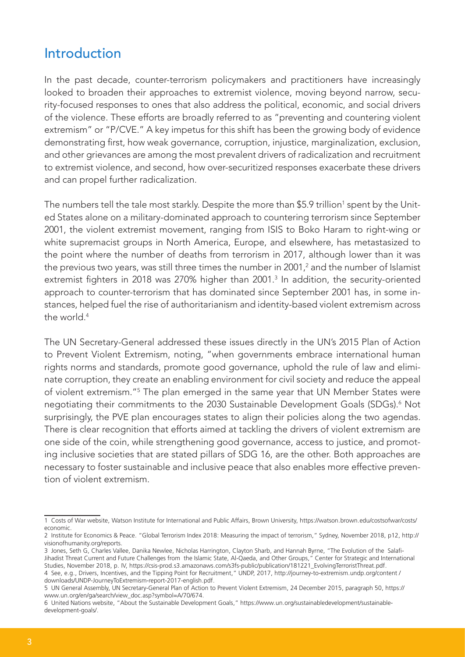# Introduction

In the past decade, counter-terrorism policymakers and practitioners have increasingly looked to broaden their approaches to extremist violence, moving beyond narrow, security-focused responses to ones that also address the political, economic, and social drivers of the violence. These efforts are broadly referred to as "preventing and countering violent extremism" or "P/CVE." A key impetus for this shift has been the growing body of evidence demonstrating first, how weak governance, corruption, injustice, marginalization, exclusion, and other grievances are among the most prevalent drivers of radicalization and recruitment to extremist violence, and second, how over-securitized responses exacerbate these drivers and can propel further radicalization.

The numbers tell the tale most starkly. Despite the more than  $\$5.9$  trillion $^{\scriptscriptstyle 1}$  spent by the United States alone on a military-dominated approach to countering terrorism since September 2001, the violent extremist movement, ranging from ISIS to Boko Haram to right-wing or white supremacist groups in North America, Europe, and elsewhere, has metastasized to the point where the number of deaths from terrorism in 2017, although lower than it was the previous two years, was still three times the number in 2001,<sup>2</sup> and the number of Islamist extremist fighters in 2018 was 270% higher than 2001.<sup>3</sup> In addition, the security-oriented approach to counter-terrorism that has dominated since September 2001 has, in some instances, helped fuel the rise of authoritarianism and identity-based violent extremism across the world.<sup>4</sup>

The UN Secretary-General addressed these issues directly in the UN's 2015 Plan of Action to Prevent Violent Extremism, noting, "when governments embrace international human rights norms and standards, promote good governance, uphold the rule of law and eliminate corruption, they create an enabling environment for civil society and reduce the appeal of violent extremism."<sup>5</sup> The plan emerged in the same year that UN Member States were negotiating their commitments to the 2030 Sustainable Development Goals (SDGs).<sup>6</sup> Not surprisingly, the PVE plan encourages states to align their policies along the two agendas. There is clear recognition that efforts aimed at tackling the drivers of violent extremism are one side of the coin, while strengthening good governance, access to justice, and promoting inclusive societies that are stated pillars of SDG 16, are the other. Both approaches are necessary to foster sustainable and inclusive peace that also enables more effective prevention of violent extremism.

<sup>1</sup> Costs of War website, Watson Institute for International and Public Affairs, Brown University, https://watson.brown.edu/costsofwar/costs/ economic.

<sup>2</sup> Institute for Economics & Peace. "Global Terrorism Index 2018: Measuring the impact of terrorism," Sydney, November 2018, p12, http:// visionofhumanity.org/reports.

<sup>3</sup> Jones, Seth G, Charles Vallee, Danika Newlee, Nicholas Harrington, Clayton Sharb, and Hannah Byrne, "The Evolution of the Salafi-Jihadist Threat Current and Future Challenges from the Islamic State, Al-Qaeda, and Other Groups," Center for Strategic and International Studies, November 2018, p. IV, https://csis-prod.s3.amazonaws.com/s3fs-public/publication/181221\_EvolvingTerroristThreat.pdf. 4 See, e.g., Drivers, Incentives, and the Tipping Point for Recruitment," UNDP, 2017, http://journey-to-extremism.undp.org/content / downloads/UNDP-JourneyToExtremism-report-2017-english.pdf.

<sup>5</sup> UN General Assembly, UN Secretary-General Plan of Action to Prevent Violent Extremism, 24 December 2015, paragraph 50, https:// www.un.org/en/ga/search/view\_doc.asp?symbol=A/70/674.

<sup>6</sup> United Nations website, "About the Sustainable Development Goals," https://www.un.org/sustainabledevelopment/sustainabledevelopment-goals/.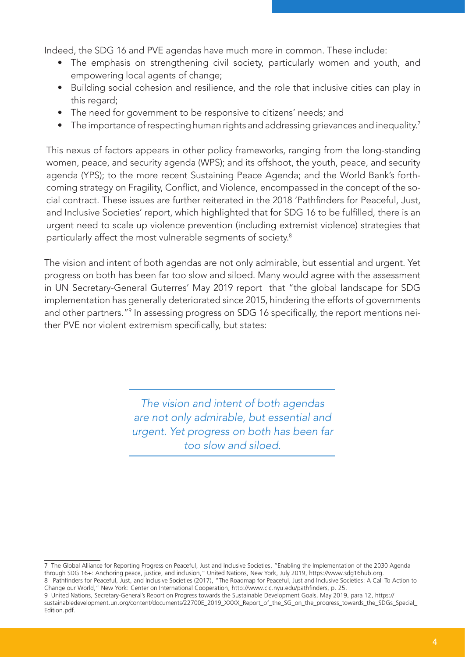Indeed, the SDG 16 and PVE agendas have much more in common. These include:

- The emphasis on strengthening civil society, particularly women and youth, and empowering local agents of change;
- Building social cohesion and resilience, and the role that inclusive cities can play in this regard:
- The need for government to be responsive to citizens' needs; and
- The importance of respecting human rights and addressing grievances and inequality.<sup>7</sup>

This nexus of factors appears in other policy frameworks, ranging from the long-standing women, peace, and security agenda (WPS); and its offshoot, the youth, peace, and security agenda (YPS); to the more recent Sustaining Peace Agenda; and the World Bank's forthcoming strategy on Fragility, Conflict, and Violence, encompassed in the concept of the social contract. These issues are further reiterated in the 2018 'Pathfinders for Peaceful, Just, and Inclusive Societies' report, which highlighted that for SDG 16 to be fulfilled, there is an urgent need to scale up violence prevention (including extremist violence) strategies that particularly affect the most vulnerable segments of society.<sup>8</sup>

The vision and intent of both agendas are not only admirable, but essential and urgent. Yet progress on both has been far too slow and siloed. Many would agree with the assessment in UN Secretary-General Guterres' May 2019 report that "the global landscape for SDG implementation has generally deteriorated since 2015, hindering the efforts of governments and other partners."<sup>9</sup> In assessing progress on SDG 16 specifically, the report mentions neither PVE nor violent extremism specifically, but states:

> *The vision and intent of both agendas are not only admirable, but essential and urgent. Yet progress on both has been far too slow and siloed.*

<sup>7</sup> The Global Alliance for Reporting Progress on Peaceful, Just and Inclusive Societies, "Enabling the Implementation of the 2030 Agenda through SDG 16+: Anchoring peace, justice, and inclusion," United Nations, New York, July 2019, https://www.sdg16hub.org.

<sup>8</sup> Pathfinders for Peaceful, Just, and Inclusive Societies (2017), "The Roadmap for Peaceful, Just and Inclusive Societies: A Call To Action to Change our World," New York: Center on International Cooperation, http://www.cic.nyu.edu/pathfinders, p. 25.

<sup>9</sup> United Nations, Secretary-General's Report on Progress towards the Sustainable Development Goals, May 2019, para 12, https:// sustainabledevelopment.un.org/content/documents/22700E\_2019\_XXXX\_Report\_of\_the\_SG\_on\_the\_progress\_towards\_the\_SDGs\_Special\_ Edition.pdf.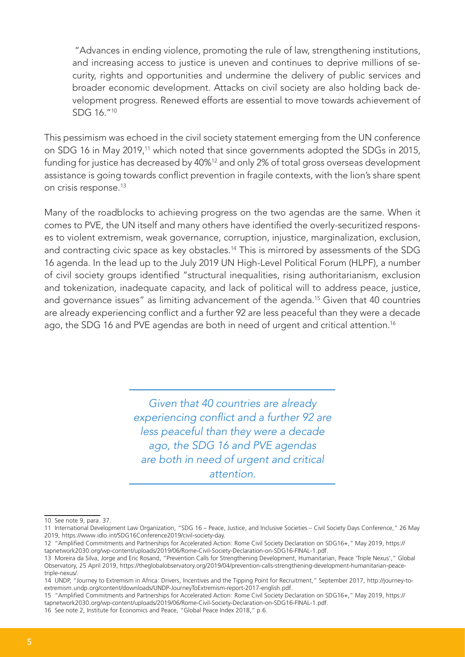"Advances in ending violence, promoting the rule of law, strengthening institutions, and increasing access to justice is uneven and continues to deprive millions of security, rights and opportunities and undermine the delivery of public services and broader economic development. Attacks on civil society are also holding back development progress. Renewed efforts are essential to move towards achievement of SDG 16."<sup>10</sup>

This pessimism was echoed in the civil society statement emerging from the UN conference on SDG 16 in May 2019,<sup>11</sup> which noted that since governments adopted the SDGs in 2015, funding for justice has decreased by 40%<sup>12</sup> and only 2% of total gross overseas development assistance is going towards conflict prevention in fragile contexts, with the lion's share spent on crisis response.<sup>13</sup>

Many of the roadblocks to achieving progress on the two agendas are the same. When it comes to PVE, the UN itself and many others have identified the overly-securitized responses to violent extremism, weak governance, corruption, injustice, marginalization, exclusion, and contracting civic space as key obstacles.<sup>14</sup> This is mirrored by assessments of the SDG 16 agenda. In the lead up to the July 2019 UN High-Level Political Forum (HLPF), a number of civil society groups identified "structural inequalities, rising authoritarianism, exclusion and tokenization, inadequate capacity, and lack of political will to address peace, justice, and governance issues" as limiting advancement of the agenda.<sup>15</sup> Given that 40 countries are already experiencing conflict and a further 92 are less peaceful than they were a decade ago, the SDG 16 and PVE agendas are both in need of urgent and critical attention.<sup>16</sup>

> *Given that 40 countries are already*  experiencing conflict and a further 92 are *less peaceful than they were a decade ago, the SDG 16 and PVE agendas are both in need of urgent and critical attention.*

<sup>10</sup> See note 9, para. 37.

<sup>11</sup> International Development Law Organization, "SDG 16 – Peace, Justice, and Inclusive Societies – Civil Society Days Conference," 26 May 2019, https://www.idlo.int/SDG16Conference2019/civil-society-day.

<sup>12 &</sup>quot;Amplified Commitments and Partnerships for Accelerated Action: Rome Civil Society Declaration on SDG16+," May 2019, https:// tapnetwork2030.org/wp-content/uploads/2019/06/Rome-Civil-Society-Declaration-on-SDG16-FINAL-1.pdf.

<sup>13</sup> Moreira da Silva, Jorge and Eric Rosand, "Prevention Calls for Strengthening Development, Humanitarian, Peace 'Triple Nexus'," Global Observatory, 25 April 2019, https://theglobalobservatory.org/2019/04/prevention-calls-strengthening-development-humanitarian-peacetriple-nexus/.

<sup>14</sup> UNDP, "Journey to Extremism in Africa: Drivers, Incentives and the Tipping Point for Recruitment," September 2017, http://journey-toextremism.undp.org/content/downloads/UNDP-JourneyToExtremism-report-2017-english.pdf.

<sup>15 &</sup>quot;Amplified Commitments and Partnerships for Accelerated Action: Rome Civil Society Declaration on SDG16+," May 2019, https:// tapnetwork2030.org/wp-content/uploads/2019/06/Rome-Civil-Society-Declaration-on-SDG16-FINAL-1.pdf.

<sup>16</sup> See note 2, Institute for Economics and Peace, "Global Peace Index 2018," p.6.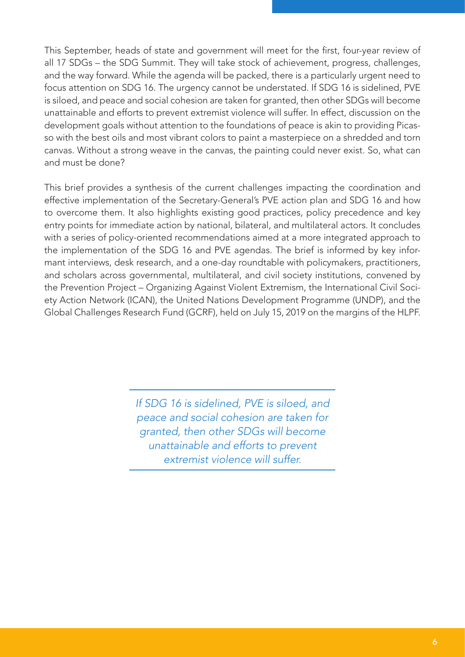This September, heads of state and government will meet for the first, four-year review of all 17 SDGs – the SDG Summit. They will take stock of achievement, progress, challenges, and the way forward. While the agenda will be packed, there is a particularly urgent need to focus attention on SDG 16. The urgency cannot be understated. If SDG 16 is sidelined, PVE is siloed, and peace and social cohesion are taken for granted, then other SDGs will become unattainable and efforts to prevent extremist violence will suffer. In effect, discussion on the development goals without attention to the foundations of peace is akin to providing Picasso with the best oils and most vibrant colors to paint a masterpiece on a shredded and torn canvas. Without a strong weave in the canvas, the painting could never exist. So, what can and must be done?

This brief provides a synthesis of the current challenges impacting the coordination and effective implementation of the Secretary-General's PVE action plan and SDG 16 and how to overcome them. It also highlights existing good practices, policy precedence and key entry points for immediate action by national, bilateral, and multilateral actors. It concludes with a series of policy-oriented recommendations aimed at a more integrated approach to the implementation of the SDG 16 and PVE agendas. The brief is informed by key informant interviews, desk research, and a one-day roundtable with policymakers, practitioners, and scholars across governmental, multilateral, and civil society institutions, convened by the Prevention Project – Organizing Against Violent Extremism, the International Civil Society Action Network (ICAN), the United Nations Development Programme (UNDP), and the Global Challenges Research Fund (GCRF), held on July 15, 2019 on the margins of the HLPF.

> *If SDG 16 is sidelined, PVE is siloed, and peace and social cohesion are taken for granted, then other SDGs will become unattainable and efforts to prevent extremist violence will suffer.*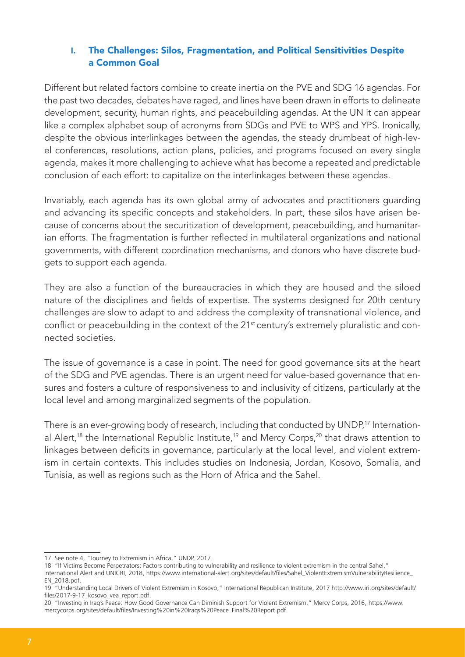## **I.** The Challenges: Silos, Fragmentation, and Political Sensitivities Despite a Common Goal

Different but related factors combine to create inertia on the PVE and SDG 16 agendas. For the past two decades, debates have raged, and lines have been drawn in efforts to delineate development, security, human rights, and peacebuilding agendas. At the UN it can appear like a complex alphabet soup of acronyms from SDGs and PVE to WPS and YPS. Ironically, despite the obvious interlinkages between the agendas, the steady drumbeat of high-level conferences, resolutions, action plans, policies, and programs focused on every single agenda, makes it more challenging to achieve what has become a repeated and predictable conclusion of each effort: to capitalize on the interlinkages between these agendas.

Invariably, each agenda has its own global army of advocates and practitioners guarding and advancing its specific concepts and stakeholders. In part, these silos have arisen because of concerns about the securitization of development, peacebuilding, and humanitarian efforts. The fragmentation is further reflected in multilateral organizations and national governments, with different coordination mechanisms, and donors who have discrete budgets to support each agenda.

They are also a function of the bureaucracies in which they are housed and the siloed nature of the disciplines and fields of expertise. The systems designed for 20th century challenges are slow to adapt to and address the complexity of transnational violence, and conflict or peacebuilding in the context of the 21<sup>st</sup> century's extremely pluralistic and connected societies.

The issue of governance is a case in point. The need for good governance sits at the heart of the SDG and PVE agendas. There is an urgent need for value-based governance that ensures and fosters a culture of responsiveness to and inclusivity of citizens, particularly at the local level and among marginalized segments of the population.

There is an ever-growing body of research, including that conducted by UNDP,<sup>17</sup> International Alert,<sup>18</sup> the International Republic Institute,<sup>19</sup> and Mercy Corps,<sup>20</sup> that draws attention to linkages between deficits in governance, particularly at the local level, and violent extremism in certain contexts. This includes studies on Indonesia, Jordan, Kosovo, Somalia, and Tunisia, as well as regions such as the Horn of Africa and the Sahel.

<sup>17</sup> See note 4, "Journey to Extremism in Africa," UNDP, 2017.

<sup>18 &</sup>quot;If Victims Become Perpetrators: Factors contributing to vulnerability and resilience to violent extremism in the central Sahel,"

International Alert and UNICRI, 2018, https://www.international-alert.org/sites/default/files/Sahel\_ViolentExtremismVulnerabilityResilience\_ EN\_2018.pdf.

<sup>19 &</sup>quot;Understanding Local Drivers of Violent Extremism in Kosovo," International Republican Institute, 2017 http://www.iri.org/sites/default/ files/2017-9-17 kosovo vea report.pdf.

<sup>20 &</sup>quot;Investing in Iraq's Peace: How Good Governance Can Diminish Support for Violent Extremism," Mercy Corps, 2016, https://www. mercycorps.org/sites/default/files/Investing%20in%20Iraqs%20Peace\_Final%20Report.pdf.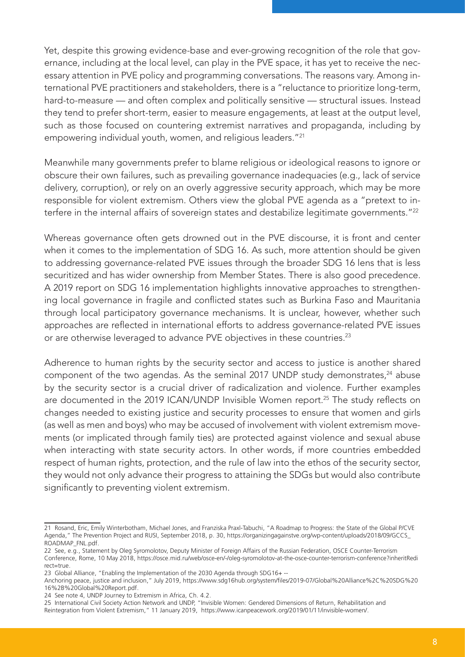Yet, despite this growing evidence-base and ever-growing recognition of the role that governance, including at the local level, can play in the PVE space, it has yet to receive the necessary attention in PVE policy and programming conversations. The reasons vary. Among international PVE practitioners and stakeholders, there is a "reluctance to prioritize long-term, hard-to-measure — and often complex and politically sensitive — structural issues. Instead they tend to prefer short-term, easier to measure engagements, at least at the output level, such as those focused on countering extremist narratives and propaganda, including by empowering individual youth, women, and religious leaders."<sup>21</sup>

Meanwhile many governments prefer to blame religious or ideological reasons to ignore or obscure their own failures, such as prevailing governance inadequacies (e.g., lack of service delivery, corruption), or rely on an overly aggressive security approach, which may be more responsible for violent extremism. Others view the global PVE agenda as a "pretext to interfere in the internal affairs of sovereign states and destabilize legitimate governments."<sup>22</sup>

Whereas governance often gets drowned out in the PVE discourse, it is front and center when it comes to the implementation of SDG 16. As such, more attention should be given to addressing governance-related PVE issues through the broader SDG 16 lens that is less securitized and has wider ownership from Member States. There is also good precedence. A 2019 report on SDG 16 implementation highlights innovative approaches to strengthening local governance in fragile and conflicted states such as Burkina Faso and Mauritania through local participatory governance mechanisms. It is unclear, however, whether such approaches are reflected in international efforts to address governance-related PVE issues or are otherwise leveraged to advance PVE objectives in these countries.<sup>23</sup>

Adherence to human rights by the security sector and access to justice is another shared component of the two agendas. As the seminal 2017 UNDP study demonstrates,<sup>24</sup> abuse by the security sector is a crucial driver of radicalization and violence. Further examples are documented in the 2019 ICAN/UNDP Invisible Women report.<sup>25</sup> The study reflects on changes needed to existing justice and security processes to ensure that women and girls (as well as men and boys) who may be accused of involvement with violent extremism movements (or implicated through family ties) are protected against violence and sexual abuse when interacting with state security actors. In other words, if more countries embedded respect of human rights, protection, and the rule of law into the ethos of the security sector, they would not only advance their progress to attaining the SDGs but would also contribute significantly to preventing violent extremism.

<sup>21</sup> Rosand, Eric, Emily Winterbotham, Michael Jones, and Franziska Praxl-Tabuchi, "A Roadmap to Progress: the State of the Global P/CVE Agenda," The Prevention Project and RUSI, September 2018, p. 30, https://organizingagainstve.org/wp-content/uploads/2018/09/GCCS\_ ROADMAP\_FNL.pdf.

<sup>22</sup> See, e.g., Statement by Oleg Syromolotov, Deputy Minister of Foreign Affairs of the Russian Federation, OSCE Counter-Terrorism Conference, Rome, 10 May 2018, https://osce.mid.ru/web/osce-en/-/oleg-syromolotov-at-the-osce-counter-terrorism-conference?inheritRedi rect=true.

<sup>23</sup> Global Alliance, "Enabling the Implementation of the 2030 Agenda through SDG16+ --

Anchoring peace, justice and inclusion," July 2019, https://www.sdg16hub.org/system/files/2019-07/Global%20Alliance%2C%20SDG%20 16%2B%20Global%20Report.pdf.

<sup>24</sup> See note 4, UNDP Journey to Extremism in Africa, Ch. 4.2.

<sup>25</sup> International Civil Society Action Network and UNDP, "Invisible Women: Gendered Dimensions of Return, Rehabilitation and Reintegration from Violent Extremism," 11 January 2019, https://www.icanpeacework.org/2019/01/11/invisible-women/.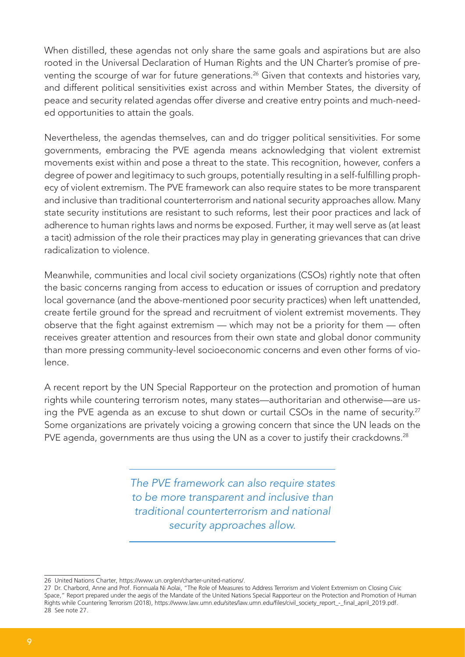When distilled, these agendas not only share the same goals and aspirations but are also rooted in the Universal Declaration of Human Rights and the UN Charter's promise of preventing the scourge of war for future generations.<sup>26</sup> Given that contexts and histories vary, and different political sensitivities exist across and within Member States, the diversity of peace and security related agendas offer diverse and creative entry points and much-needed opportunities to attain the goals.

Nevertheless, the agendas themselves, can and do trigger political sensitivities. For some governments, embracing the PVE agenda means acknowledging that violent extremist movements exist within and pose a threat to the state. This recognition, however, confers a degree of power and legitimacy to such groups, potentially resulting in a self-fulfilling prophecy of violent extremism. The PVE framework can also require states to be more transparent and inclusive than traditional counterterrorism and national security approaches allow. Many state security institutions are resistant to such reforms, lest their poor practices and lack of adherence to human rights laws and norms be exposed. Further, it may well serve as (at least a tacit) admission of the role their practices may play in generating grievances that can drive radicalization to violence.

Meanwhile, communities and local civil society organizations (CSOs) rightly note that often the basic concerns ranging from access to education or issues of corruption and predatory local governance (and the above-mentioned poor security practices) when left unattended, create fertile ground for the spread and recruitment of violent extremist movements. They observe that the fight against extremism — which may not be a priority for them — often receives greater attention and resources from their own state and global donor community than more pressing community-level socioeconomic concerns and even other forms of violence.

A recent report by the UN Special Rapporteur on the protection and promotion of human rights while countering terrorism notes, many states—authoritarian and otherwise—are using the PVE agenda as an excuse to shut down or curtail CSOs in the name of security.<sup>27</sup> Some organizations are privately voicing a growing concern that since the UN leads on the PVE agenda, governments are thus using the UN as a cover to justify their crackdowns.<sup>28</sup>

> *The PVE framework can also require states to be more transparent and inclusive than traditional counterterrorism and national security approaches allow.*

<sup>26</sup> United Nations Charter, https://www.un.org/en/charter-united-nations/.

<sup>27</sup> Dr. Charbord, Anne and Prof. Fionnuala Ni Aolai, "The Role of Measures to Address Terrorism and Violent Extremism on Closing Civic Space," Report prepared under the aegis of the Mandate of the United Nations Special Rapporteur on the Protection and Promotion of Human Rights while Countering Terrorism (2018), https://www.law.umn.edu/sites/law.umn.edu/files/civil\_society\_report\_-\_final\_april\_2019.pdf. 28 See note 27.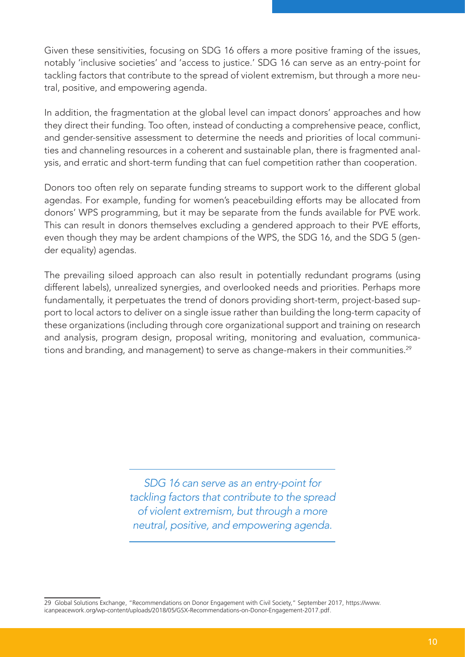Given these sensitivities, focusing on SDG 16 offers a more positive framing of the issues, notably 'inclusive societies' and 'access to justice.' SDG 16 can serve as an entry-point for tackling factors that contribute to the spread of violent extremism, but through a more neutral, positive, and empowering agenda.

In addition, the fragmentation at the global level can impact donors' approaches and how they direct their funding. Too often, instead of conducting a comprehensive peace, conflict, and gender-sensitive assessment to determine the needs and priorities of local communities and channeling resources in a coherent and sustainable plan, there is fragmented analysis, and erratic and short-term funding that can fuel competition rather than cooperation.

Donors too often rely on separate funding streams to support work to the different global agendas. For example, funding for women's peacebuilding efforts may be allocated from donors' WPS programming, but it may be separate from the funds available for PVE work. This can result in donors themselves excluding a gendered approach to their PVE efforts, even though they may be ardent champions of the WPS, the SDG 16, and the SDG 5 (gender equality) agendas.

The prevailing siloed approach can also result in potentially redundant programs (using different labels), unrealized synergies, and overlooked needs and priorities. Perhaps more fundamentally, it perpetuates the trend of donors providing short-term, project-based support to local actors to deliver on a single issue rather than building the long-term capacity of these organizations (including through core organizational support and training on research and analysis, program design, proposal writing, monitoring and evaluation, communications and branding, and management) to serve as change-makers in their communities.<sup>29</sup>

> *SDG 16 can serve as an entry-point for tackling factors that contribute to the spread of violent extremism, but through a more neutral, positive, and empowering agenda.*

<sup>29</sup> Global Solutions Exchange, "Recommendations on Donor Engagement with Civil Society," September 2017, https://www. icanpeacework.org/wp-content/uploads/2018/05/GSX-Recommendations-on-Donor-Engagement-2017.pdf.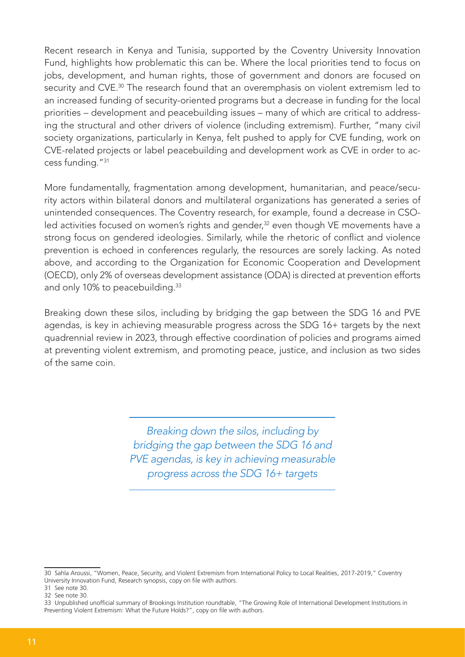Recent research in Kenya and Tunisia, supported by the Coventry University Innovation Fund, highlights how problematic this can be. Where the local priorities tend to focus on jobs, development, and human rights, those of government and donors are focused on security and CVE.<sup>30</sup> The research found that an overemphasis on violent extremism led to an increased funding of security-oriented programs but a decrease in funding for the local priorities – development and peacebuilding issues – many of which are critical to addressing the structural and other drivers of violence (including extremism). Further, "many civil society organizations, particularly in Kenya, felt pushed to apply for CVE funding, work on CVE-related projects or label peacebuilding and development work as CVE in order to access funding."<sup>31</sup>

More fundamentally, fragmentation among development, humanitarian, and peace/security actors within bilateral donors and multilateral organizations has generated a series of unintended consequences. The Coventry research, for example, found a decrease in CSOled activities focused on women's rights and gender,<sup>32</sup> even though VE movements have a strong focus on gendered ideologies. Similarly, while the rhetoric of conflict and violence prevention is echoed in conferences regularly, the resources are sorely lacking. As noted above, and according to the Organization for Economic Cooperation and Development (OECD), only 2% of overseas development assistance (ODA) is directed at prevention efforts and only 10% to peacebuilding.<sup>33</sup>

Breaking down these silos, including by bridging the gap between the SDG 16 and PVE agendas, is key in achieving measurable progress across the SDG 16+ targets by the next quadrennial review in 2023, through effective coordination of policies and programs aimed at preventing violent extremism, and promoting peace, justice, and inclusion as two sides of the same coin.

> *Breaking down the silos, including by bridging the gap between the SDG 16 and PVE agendas, is key in achieving measurable progress across the SDG 16+ targets*

<sup>30</sup> Sahla Aroussi, "Women, Peace, Security, and Violent Extremism from International Policy to Local Realities, 2017-2019," Coventry University Innovation Fund, Research synopsis, copy on file with authors.

<sup>31</sup> See note 30.

<sup>32</sup> See note 30.

<sup>33</sup> Unpublished unofficial summary of Brookings Institution roundtable, "The Growing Role of International Development Institutions in Preventing Violent Extremism: What the Future Holds?", copy on file with authors.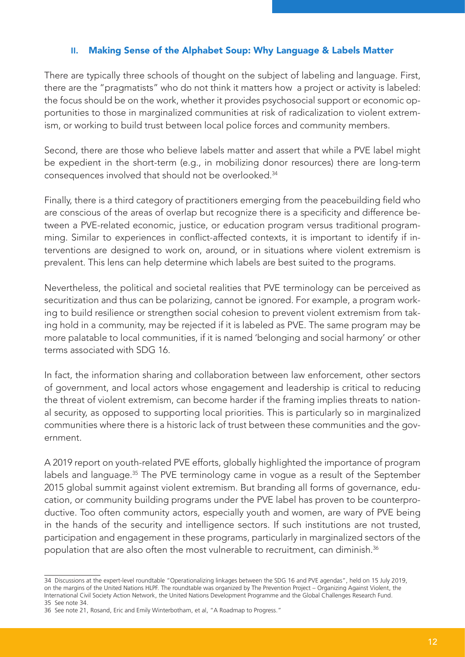## **II.** Making Sense of the Alphabet Soup: Why Language & Labels Matter

There are typically three schools of thought on the subject of labeling and language. First, there are the "pragmatists" who do not think it matters how a project or activity is labeled: the focus should be on the work, whether it provides psychosocial support or economic opportunities to those in marginalized communities at risk of radicalization to violent extremism, or working to build trust between local police forces and community members.

Second, there are those who believe labels matter and assert that while a PVE label might be expedient in the short-term (e.g., in mobilizing donor resources) there are long-term consequences involved that should not be overlooked.<sup>34</sup>

Finally, there is a third category of practitioners emerging from the peacebuilding field who are conscious of the areas of overlap but recognize there is a specificity and difference between a PVE-related economic, justice, or education program versus traditional programming. Similar to experiences in conflict-affected contexts, it is important to identify if interventions are designed to work on, around, or in situations where violent extremism is prevalent. This lens can help determine which labels are best suited to the programs.

Nevertheless, the political and societal realities that PVE terminology can be perceived as securitization and thus can be polarizing, cannot be ignored. For example, a program working to build resilience or strengthen social cohesion to prevent violent extremism from taking hold in a community, may be rejected if it is labeled as PVE. The same program may be more palatable to local communities, if it is named 'belonging and social harmony' or other terms associated with SDG 16.

In fact, the information sharing and collaboration between law enforcement, other sectors of government, and local actors whose engagement and leadership is critical to reducing the threat of violent extremism, can become harder if the framing implies threats to national security, as opposed to supporting local priorities. This is particularly so in marginalized communities where there is a historic lack of trust between these communities and the government.

A 2019 report on youth-related PVE efforts, globally highlighted the importance of program labels and language.<sup>35</sup> The PVE terminology came in vogue as a result of the September 2015 global summit against violent extremism. But branding all forms of governance, education, or community building programs under the PVE label has proven to be counterproductive. Too often community actors, especially youth and women, are wary of PVE being in the hands of the security and intelligence sectors. If such institutions are not trusted, participation and engagement in these programs, particularly in marginalized sectors of the population that are also often the most vulnerable to recruitment, can diminish.<sup>36</sup>

<sup>34</sup> Discussions at the expert-level roundtable "Operationalizing linkages between the SDG 16 and PVE agendas", held on 15 July 2019, on the margins of the United Nations HLPF. The roundtable was organized by The Prevention Project – Organizing Against Violent, the International Civil Society Action Network, the United Nations Development Programme and the Global Challenges Research Fund. 35 See note 34.

<sup>36</sup> See note 21, Rosand, Eric and Emily Winterbotham, et al, "A Roadmap to Progress."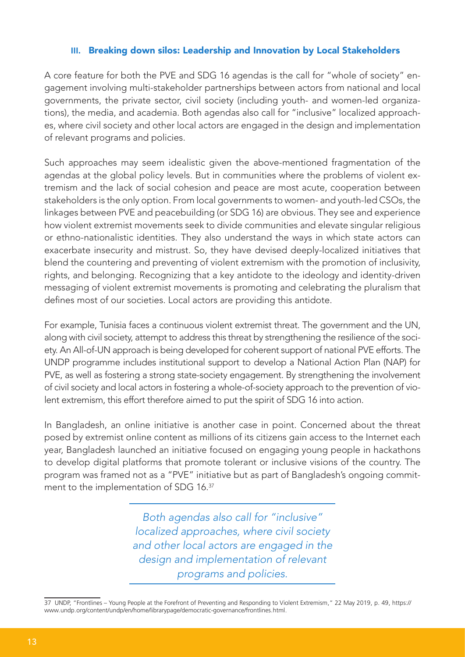#### **III.** Breaking down silos: Leadership and Innovation by Local Stakeholders

A core feature for both the PVE and SDG 16 agendas is the call for "whole of society" engagement involving multi-stakeholder partnerships between actors from national and local governments, the private sector, civil society (including youth- and women-led organizations), the media, and academia. Both agendas also call for "inclusive" localized approaches, where civil society and other local actors are engaged in the design and implementation of relevant programs and policies.

Such approaches may seem idealistic given the above-mentioned fragmentation of the agendas at the global policy levels. But in communities where the problems of violent extremism and the lack of social cohesion and peace are most acute, cooperation between stakeholders is the only option. From local governments to women- and youth-led CSOs, the linkages between PVE and peacebuilding (or SDG 16) are obvious. They see and experience how violent extremist movements seek to divide communities and elevate singular religious or ethno-nationalistic identities. They also understand the ways in which state actors can exacerbate insecurity and mistrust. So, they have devised deeply-localized initiatives that blend the countering and preventing of violent extremism with the promotion of inclusivity, rights, and belonging. Recognizing that a key antidote to the ideology and identity-driven messaging of violent extremist movements is promoting and celebrating the pluralism that defines most of our societies. Local actors are providing this antidote.

For example, Tunisia faces a continuous violent extremist threat. The government and the UN, along with civil society, attempt to address this threat by strengthening the resilience of the society. An All-of-UN approach is being developed for coherent support of national PVE efforts. The UNDP programme includes institutional support to develop a National Action Plan (NAP) for PVE, as well as fostering a strong state-society engagement. By strengthening the involvement of civil society and local actors in fostering a whole-of-society approach to the prevention of violent extremism, this effort therefore aimed to put the spirit of SDG 16 into action.

In Bangladesh, an online initiative is another case in point. Concerned about the threat posed by extremist online content as millions of its citizens gain access to the Internet each year, Bangladesh launched an initiative focused on engaging young people in hackathons to develop digital platforms that promote tolerant or inclusive visions of the country. The program was framed not as a "PVE" initiative but as part of Bangladesh's ongoing commitment to the implementation of SDG 16.<sup>37</sup>

> *Both agendas also call for "inclusive" localized approaches, where civil society and other local actors are engaged in the design and implementation of relevant programs and policies.*

37 UNDP, "Frontlines – Young People at the Forefront of Preventing and Responding to Violent Extremism," 22 May 2019, p. 49, https:// www.undp.org/content/undp/en/home/librarypage/democratic-governance/frontlines.html.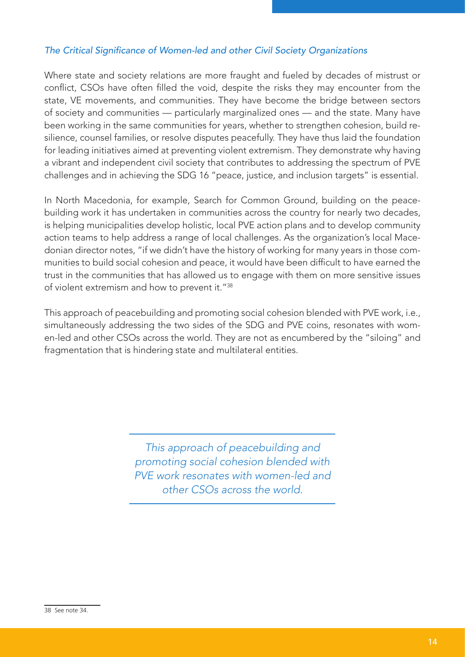## The Critical Significance of Women-led and other Civil Society Organizations

Where state and society relations are more fraught and fueled by decades of mistrust or conflict, CSOs have often filled the void, despite the risks they may encounter from the state, VE movements, and communities. They have become the bridge between sectors of society and communities — particularly marginalized ones — and the state. Many have been working in the same communities for years, whether to strengthen cohesion, build resilience, counsel families, or resolve disputes peacefully. They have thus laid the foundation for leading initiatives aimed at preventing violent extremism. They demonstrate why having a vibrant and independent civil society that contributes to addressing the spectrum of PVE challenges and in achieving the SDG 16 "peace, justice, and inclusion targets" is essential.

In North Macedonia, for example, Search for Common Ground, building on the peacebuilding work it has undertaken in communities across the country for nearly two decades, is helping municipalities develop holistic, local PVE action plans and to develop community action teams to help address a range of local challenges. As the organization's local Macedonian director notes, "if we didn't have the history of working for many years in those communities to build social cohesion and peace, it would have been difficult to have earned the trust in the communities that has allowed us to engage with them on more sensitive issues of violent extremism and how to prevent it."<sup>38</sup>

This approach of peacebuilding and promoting social cohesion blended with PVE work, i.e., simultaneously addressing the two sides of the SDG and PVE coins, resonates with women-led and other CSOs across the world. They are not as encumbered by the "siloing" and fragmentation that is hindering state and multilateral entities.

> *This approach of peacebuilding and promoting social cohesion blended with PVE work resonates with women-led and other CSOs across the world.*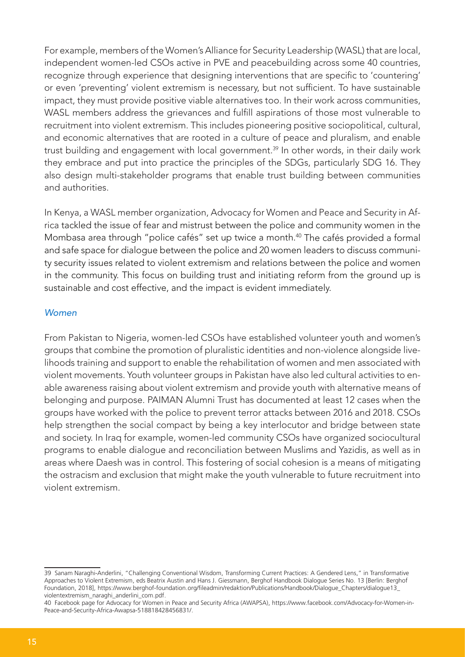For example, members of the Women's Alliance for Security Leadership (WASL) that are local, independent women-led CSOs active in PVE and peacebuilding across some 40 countries, recognize through experience that designing interventions that are specific to 'countering' or even 'preventing' violent extremism is necessary, but not sufficient. To have sustainable impact, they must provide positive viable alternatives too. In their work across communities, WASL members address the grievances and fulfill aspirations of those most vulnerable to recruitment into violent extremism. This includes pioneering positive sociopolitical, cultural, and economic alternatives that are rooted in a culture of peace and pluralism, and enable trust building and engagement with local government.<sup>39</sup> In other words, in their daily work they embrace and put into practice the principles of the SDGs, particularly SDG 16. They also design multi-stakeholder programs that enable trust building between communities and authorities.

In Kenya, a WASL member organization, Advocacy for Women and Peace and Security in Africa tackled the issue of fear and mistrust between the police and community women in the Mombasa area through "police cafés" set up twice a month.<sup>40</sup> The cafés provided a formal and safe space for dialogue between the police and 20 women leaders to discuss community security issues related to violent extremism and relations between the police and women in the community. This focus on building trust and initiating reform from the ground up is sustainable and cost effective, and the impact is evident immediately.

#### Women

From Pakistan to Nigeria, women-led CSOs have established volunteer youth and women's groups that combine the promotion of pluralistic identities and non-violence alongside livelihoods training and support to enable the rehabilitation of women and men associated with violent movements. Youth volunteer groups in Pakistan have also led cultural activities to enable awareness raising about violent extremism and provide youth with alternative means of belonging and purpose. PAIMAN Alumni Trust has documented at least 12 cases when the groups have worked with the police to prevent terror attacks between 2016 and 2018. CSOs help strengthen the social compact by being a key interlocutor and bridge between state and society. In Iraq for example, women-led community CSOs have organized sociocultural programs to enable dialogue and reconciliation between Muslims and Yazidis, as well as in areas where Daesh was in control. This fostering of social cohesion is a means of mitigating the ostracism and exclusion that might make the youth vulnerable to future recruitment into violent extremism.

<sup>39</sup> Sanam Naraghi-Anderlini, "Challenging Conventional Wisdom, Transforming Current Practices: A Gendered Lens," in Transformative Approaches to Violent Extremism, eds Beatrix Austin and Hans J. Giessmann, Berghof Handbook Dialogue Series No. 13 [Berlin: Berghof Foundation, 2018], https://www.berghof-foundation.org/fileadmin/redaktion/Publications/Handbook/Dialogue\_Chapters/dialogue13\_ violentextremism\_naraghi\_anderlini\_com.pdf.

<sup>40</sup> Facebook page for Advocacy for Women in Peace and Security Africa (AWAPSA), https://www.facebook.com/Advocacy-for-Women-in-Peace-and-Security-Africa-Awapsa-518818428456831/.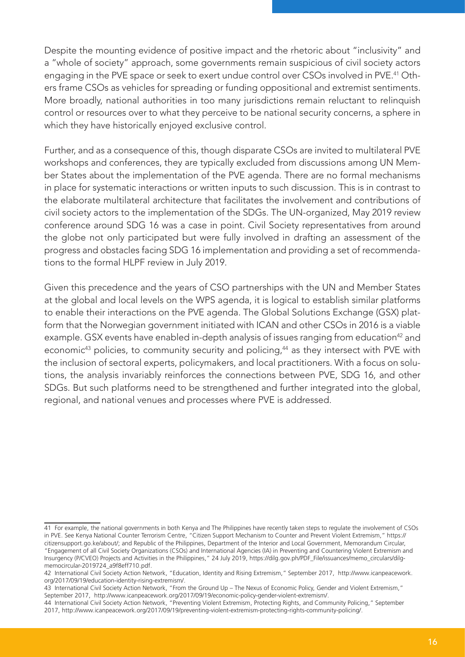Despite the mounting evidence of positive impact and the rhetoric about "inclusivity" and a "whole of society" approach, some governments remain suspicious of civil society actors engaging in the PVE space or seek to exert undue control over CSOs involved in PVE.41 Others frame CSOs as vehicles for spreading or funding oppositional and extremist sentiments. More broadly, national authorities in too many jurisdictions remain reluctant to relinquish control or resources over to what they perceive to be national security concerns, a sphere in which they have historically enjoyed exclusive control.

Further, and as a consequence of this, though disparate CSOs are invited to multilateral PVE workshops and conferences, they are typically excluded from discussions among UN Member States about the implementation of the PVE agenda. There are no formal mechanisms in place for systematic interactions or written inputs to such discussion. This is in contrast to the elaborate multilateral architecture that facilitates the involvement and contributions of civil society actors to the implementation of the SDGs. The UN-organized, May 2019 review conference around SDG 16 was a case in point. Civil Society representatives from around the globe not only participated but were fully involved in drafting an assessment of the progress and obstacles facing SDG 16 implementation and providing a set of recommendations to the formal HLPF review in July 2019.

Given this precedence and the years of CSO partnerships with the UN and Member States at the global and local levels on the WPS agenda, it is logical to establish similar platforms to enable their interactions on the PVE agenda. The Global Solutions Exchange (GSX) platform that the Norwegian government initiated with ICAN and other CSOs in 2016 is a viable example. GSX events have enabled in-depth analysis of issues ranging from education<sup>42</sup> and economic<sup>43</sup> policies, to community security and policing,<sup>44</sup> as they intersect with PVE with the inclusion of sectoral experts, policymakers, and local practitioners. With a focus on solutions, the analysis invariably reinforces the connections between PVE, SDG 16, and other SDGs. But such platforms need to be strengthened and further integrated into the global, regional, and national venues and processes where PVE is addressed.

<sup>41</sup> For example, the national governments in both Kenya and The Philippines have recently taken steps to regulate the involvement of CSOs in PVE. See Kenya National Counter Terrorism Centre, "Citizen Support Mechanism to Counter and Prevent Violent Extremism," https:// citizensupport.go.ke/about/; and Republic of the Philippines, Department of the Interior and Local Government, Memorandum Circular, "Engagement of all Civil Society Organizations (CSOs) and International Agencies (IA) in Preventing and Countering Violent Extremism and Insurgency (P/CVEO) Projects and Activities in the Philippines," 24 July 2019, https://dilg.gov.ph/PDF\_File/issuances/memo\_circulars/dilgmemocircular-2019724\_a9f8eff710.pdf.

<sup>42</sup> International Civil Society Action Network, "Education, Identity and Rising Extremism," September 2017, http://www.icanpeacework. org/2017/09/19/education-identity-rising-extremism/.

<sup>43</sup> International Civil Society Action Network, "From the Ground Up – The Nexus of Economic Policy, Gender and Violent Extremism," September 2017, http://www.icanpeacework.org/2017/09/19/economic-policy-gender-violent-extremism/.

<sup>44</sup> International Civil Society Action Network, "Preventing Violent Extremism, Protecting Rights, and Community Policing," September 2017, http://www.icanpeacework.org/2017/09/19/preventing-violent-extremism-protecting-rights-community-policing/.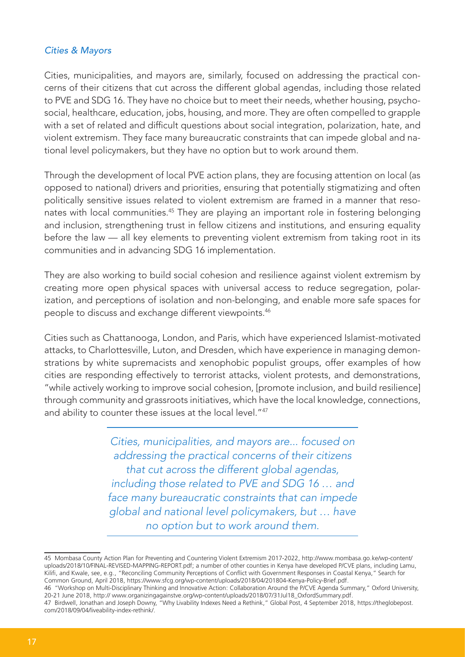#### Cities & Mayors

Cities, municipalities, and mayors are, similarly, focused on addressing the practical concerns of their citizens that cut across the different global agendas, including those related to PVE and SDG 16. They have no choice but to meet their needs, whether housing, psychosocial, healthcare, education, jobs, housing, and more. They are often compelled to grapple with a set of related and difficult questions about social integration, polarization, hate, and violent extremism. They face many bureaucratic constraints that can impede global and national level policymakers, but they have no option but to work around them.

Through the development of local PVE action plans, they are focusing attention on local (as opposed to national) drivers and priorities, ensuring that potentially stigmatizing and often politically sensitive issues related to violent extremism are framed in a manner that resonates with local communities.<sup>45</sup> They are playing an important role in fostering belonging and inclusion, strengthening trust in fellow citizens and institutions, and ensuring equality before the law — all key elements to preventing violent extremism from taking root in its communities and in advancing SDG 16 implementation.

They are also working to build social cohesion and resilience against violent extremism by creating more open physical spaces with universal access to reduce segregation, polarization, and perceptions of isolation and non-belonging, and enable more safe spaces for people to discuss and exchange different viewpoints.46

Cities such as Chattanooga, London, and Paris, which have experienced Islamist-motivated attacks, to Charlottesville, Luton, and Dresden, which have experience in managing demonstrations by white supremacists and xenophobic populist groups, offer examples of how cities are responding effectively to terrorist attacks, violent protests, and demonstrations, "while actively working to improve social cohesion, [promote inclusion, and build resilience] through community and grassroots initiatives, which have the local knowledge, connections, and ability to counter these issues at the local level."47

> *Cities, municipalities, and mayors are... focused on addressing the practical concerns of their citizens that cut across the different global agendas, including those related to PVE and SDG 16 … and face many bureaucratic constraints that can impede global and national level policymakers, but … have no option but to work around them.*

<sup>45</sup> Mombasa County Action Plan for Preventing and Countering Violent Extremism 2017-2022, http://www.mombasa.go.ke/wp-content/ uploads/2018/10/FINAL-REVISED-MAPPING-REPORT.pdf; a number of other counties in Kenya have developed P/CVE plans, including Lamu, Kilifi, and Kwale, see, e.g., "Reconciling Community Perceptions of Conflict with Government Responses in Coastal Kenya," Search for Common Ground, April 2018, https://www.sfcg.org/wp-content/uploads/2018/04/201804-Kenya-Policy-Brief.pdf.

<sup>46 &</sup>quot;Workshop on Multi-Disciplinary Thinking and Innovative Action: Collaboration Around the P/CVE Agenda Summary," Oxford University, 20-21 June 2018, http:// www.organizingagainstve.org/wp-content/uploads/2018/07/31Jul18\_OxfordSummary.pdf.

<sup>47</sup> Birdwell, Jonathan and Joseph Downy, "Why Livability Indexes Need a Rethink," Global Post, 4 September 2018, https://theglobepost. com/2018/09/04/liveability-index-rethink/.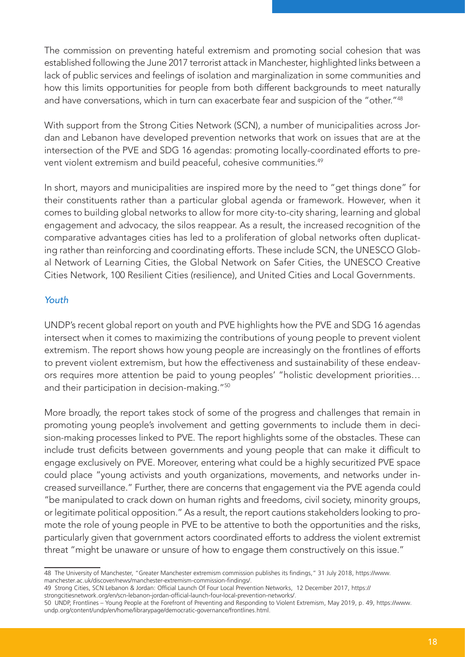The commission on preventing hateful extremism and promoting social cohesion that was established following the June 2017 terrorist attack in Manchester, highlighted links between a lack of public services and feelings of isolation and marginalization in some communities and how this limits opportunities for people from both different backgrounds to meet naturally and have conversations, which in turn can exacerbate fear and suspicion of the "other."48

With support from the Strong Cities Network (SCN), a number of municipalities across Jordan and Lebanon have developed prevention networks that work on issues that are at the intersection of the PVE and SDG 16 agendas: promoting locally-coordinated efforts to prevent violent extremism and build peaceful, cohesive communities.<sup>49</sup>

In short, mayors and municipalities are inspired more by the need to "get things done" for their constituents rather than a particular global agenda or framework. However, when it comes to building global networks to allow for more city-to-city sharing, learning and global engagement and advocacy, the silos reappear. As a result, the increased recognition of the comparative advantages cities has led to a proliferation of global networks often duplicating rather than reinforcing and coordinating efforts. These include SCN, the UNESCO Global Network of Learning Cities, the Global Network on Safer Cities, the UNESCO Creative Cities Network, 100 Resilient Cities (resilience), and United Cities and Local Governments.

## Youth

UNDP's recent global report on youth and PVE highlights how the PVE and SDG 16 agendas intersect when it comes to maximizing the contributions of young people to prevent violent extremism. The report shows how young people are increasingly on the frontlines of efforts to prevent violent extremism, but how the effectiveness and sustainability of these endeavors requires more attention be paid to young peoples' "holistic development priorities… and their participation in decision-making."<sup>50</sup>

More broadly, the report takes stock of some of the progress and challenges that remain in promoting young people's involvement and getting governments to include them in decision-making processes linked to PVE. The report highlights some of the obstacles. These can include trust deficits between governments and young people that can make it difficult to engage exclusively on PVE. Moreover, entering what could be a highly securitized PVE space could place "young activists and youth organizations, movements, and networks under increased surveillance." Further, there are concerns that engagement via the PVE agenda could "be manipulated to crack down on human rights and freedoms, civil society, minority groups, or legitimate political opposition." As a result, the report cautions stakeholders looking to promote the role of young people in PVE to be attentive to both the opportunities and the risks, particularly given that government actors coordinated efforts to address the violent extremist threat "might be unaware or unsure of how to engage them constructively on this issue."

<sup>48</sup> The University of Manchester, "Greater Manchester extremism commission publishes its findings," 31 July 2018, https://www. manchester.ac.uk/discover/news/manchester-extremism-commission-findings/.

<sup>49</sup> Strong Cities, SCN Lebanon & Jordan: Official Launch Of Four Local Prevention Networks, 12 December 2017, https://

strongcitiesnetwork.org/en/scn-lebanon-jordan-official-launch-four-local-prevention-networks/.

<sup>50</sup> UNDP, Frontlines – Young People at the Forefront of Preventing and Responding to Violent Extremism, May 2019, p. 49, https://www. undp.org/content/undp/en/home/librarypage/democratic-governance/frontlines.html.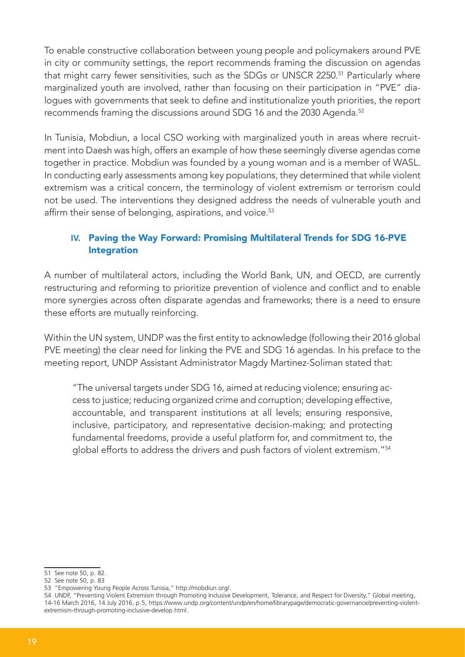To enable constructive collaboration between young people and policymakers around PVE in city or community settings, the report recommends framing the discussion on agendas that might carry fewer sensitivities, such as the SDGs or UNSCR 2250.<sup>51</sup> Particularly where marginalized youth are involved, rather than focusing on their participation in "PVE" dialogues with governments that seek to define and institutionalize youth priorities, the report recommends framing the discussions around SDG 16 and the 2030 Agenda.<sup>52</sup>

In Tunisia, Mobdiun, a local CSO working with marginalized youth in areas where recruitment into Daesh was high, offers an example of how these seemingly diverse agendas come together in practice. Mobdiun was founded by a young woman and is a member of WASL. In conducting early assessments among key populations, they determined that while violent extremism was a critical concern, the terminology of violent extremism or terrorism could not be used. The interventions they designed address the needs of vulnerable youth and affirm their sense of belonging, aspirations, and voice.<sup>53</sup>

## **IV.** Paving the Way Forward: Promising Multilateral Trends for SDG 16-PVE Integration

A number of multilateral actors, including the World Bank, UN, and OECD, are currently restructuring and reforming to prioritize prevention of violence and conflict and to enable more synergies across often disparate agendas and frameworks; there is a need to ensure these efforts are mutually reinforcing.

Within the UN system, UNDP was the first entity to acknowledge (following their 2016 global PVE meeting) the clear need for linking the PVE and SDG 16 agendas. In his preface to the meeting report, UNDP Assistant Administrator Magdy Martinez-Soliman stated that:

"The universal targets under SDG 16, aimed at reducing violence; ensuring access to justice; reducing organized crime and corruption; developing effective, accountable, and transparent institutions at all levels; ensuring responsive, inclusive, participatory, and representative decision-making; and protecting fundamental freedoms, provide a useful platform for, and commitment to, the global efforts to address the drivers and push factors of violent extremism."<sup>54</sup>

<sup>51</sup> See note 50, p. 82.

<sup>52</sup> See note 50, p. 83

<sup>53 &</sup>quot;Empowering Young People Across Tunisia," http://mobdiun.org/.

<sup>54</sup> UNDP, "Preventing Violent Extremism through Promoting Inclusive Development, Tolerance, and Respect for Diversity," Global meeting, 14-16 March 2016, 14 July 2016, p.5, https://www.undp.org/content/undp/en/home/librarypage/democratic-governance/preventing-violentextremism-through-promoting-inclusive-develop.html.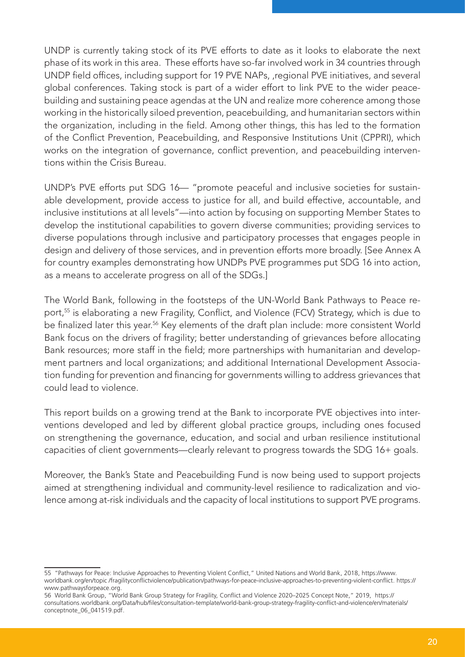UNDP is currently taking stock of its PVE efforts to date as it looks to elaborate the next phase of its work in this area. These efforts have so-far involved work in 34 countries through UNDP field offices, including support for 19 PVE NAPs, ,regional PVE initiatives, and several global conferences. Taking stock is part of a wider effort to link PVE to the wider peacebuilding and sustaining peace agendas at the UN and realize more coherence among those working in the historically siloed prevention, peacebuilding, and humanitarian sectors within the organization, including in the field. Among other things, this has led to the formation of the Conflict Prevention, Peacebuilding, and Responsive Institutions Unit (CPPRI), which works on the integration of governance, conflict prevention, and peacebuilding interventions within the Crisis Bureau.

UNDP's PVE efforts put SDG 16— "promote peaceful and inclusive societies for sustainable development, provide access to justice for all, and build effective, accountable, and inclusive institutions at all levels"—into action by focusing on supporting Member States to develop the institutional capabilities to govern diverse communities; providing services to diverse populations through inclusive and participatory processes that engages people in design and delivery of those services, and in prevention efforts more broadly. [See Annex A for country examples demonstrating how UNDPs PVE programmes put SDG 16 into action, as a means to accelerate progress on all of the SDGs.]

The World Bank, following in the footsteps of the UN-World Bank Pathways to Peace report,<sup>55</sup> is elaborating a new Fragility, Conflict, and Violence (FCV) Strategy, which is due to be finalized later this year.<sup>56</sup> Key elements of the draft plan include: more consistent World Bank focus on the drivers of fragility; better understanding of grievances before allocating Bank resources; more staff in the field; more partnerships with humanitarian and development partners and local organizations; and additional International Development Association funding for prevention and financing for governments willing to address grievances that could lead to violence.

This report builds on a growing trend at the Bank to incorporate PVE objectives into interventions developed and led by different global practice groups, including ones focused on strengthening the governance, education, and social and urban resilience institutional capacities of client governments—clearly relevant to progress towards the SDG 16+ goals.

Moreover, the Bank's State and Peacebuilding Fund is now being used to support projects aimed at strengthening individual and community-level resilience to radicalization and violence among at-risk individuals and the capacity of local institutions to support PVE programs.

<sup>55 &</sup>quot;Pathways for Peace: Inclusive Approaches to Preventing Violent Conflict," United Nations and World Bank, 2018, https://www. worldbank.org/en/topic /fragilityconflictviolence/publication/pathways-for-peace-inclusive-approaches-to-preventing-violent-conflict. https:// www.pathwaysforpeace.org.

<sup>56</sup> World Bank Group, "World Bank Group Strategy for Fragility, Conflict and Violence 2020–2025 Concept Note," 2019, https:// consultations.worldbank.org/Data/hub/files/consultation-template/world-bank-group-strategy-fragility-conflict-and-violence/en/materials/ conceptnote\_06\_041519.pdf.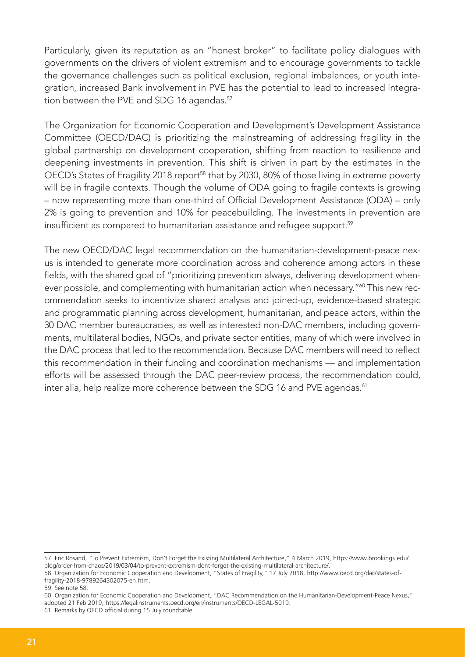Particularly, given its reputation as an "honest broker" to facilitate policy dialogues with governments on the drivers of violent extremism and to encourage governments to tackle the governance challenges such as political exclusion, regional imbalances, or youth integration, increased Bank involvement in PVE has the potential to lead to increased integration between the PVE and SDG 16 agendas.<sup>57</sup>

The Organization for Economic Cooperation and Development's Development Assistance Committee (OECD/DAC) is prioritizing the mainstreaming of addressing fragility in the global partnership on development cooperation, shifting from reaction to resilience and deepening investments in prevention. This shift is driven in part by the estimates in the OECD's States of Fragility 2018 report<sup>58</sup> that by 2030, 80% of those living in extreme poverty will be in fragile contexts. Though the volume of ODA going to fragile contexts is growing – now representing more than one-third of Official Development Assistance (ODA) – only 2% is going to prevention and 10% for peacebuilding. The investments in prevention are insufficient as compared to humanitarian assistance and refugee support.<sup>59</sup>

The new OECD/DAC legal recommendation on the humanitarian-development-peace nexus is intended to generate more coordination across and coherence among actors in these fields, with the shared goal of "prioritizing prevention always, delivering development whenever possible, and complementing with humanitarian action when necessary."<sup>60</sup> This new recommendation seeks to incentivize shared analysis and joined-up, evidence-based strategic and programmatic planning across development, humanitarian, and peace actors, within the 30 DAC member bureaucracies, as well as interested non-DAC members, including governments, multilateral bodies, NGOs, and private sector entities, many of which were involved in the DAC process that led to the recommendation. Because DAC members will need to reflect this recommendation in their funding and coordination mechanisms — and implementation efforts will be assessed through the DAC peer-review process, the recommendation could, inter alia, help realize more coherence between the SDG 16 and PVE agendas.<sup>61</sup>

<sup>57</sup> Eric Rosand, "To Prevent Extremism, Don't Forget the Existing Multilateral Architecture," 4 March 2019, https://www.brookings.edu/ blog/order-from-chaos/2019/03/04/to-prevent-extremism-dont-forget-the-existing-multilateral-architecture/.

<sup>58</sup> Organization for Economic Cooperation and Development, "States of Fragility," 17 July 2018, http://www.oecd.org/dac/states-offragility-2018-9789264302075-en.htm.

<sup>59</sup> See note 58.

<sup>60</sup> Organization for Economic Cooperation and Development, "DAC Recommendation on the Humanitarian-Development-Peace Nexus," adopted 21 Feb 2019, https://legalinstruments.oecd.org/en/instruments/OECD-LEGAL-5019.

<sup>61</sup> Remarks by OECD official during 15 July roundtable.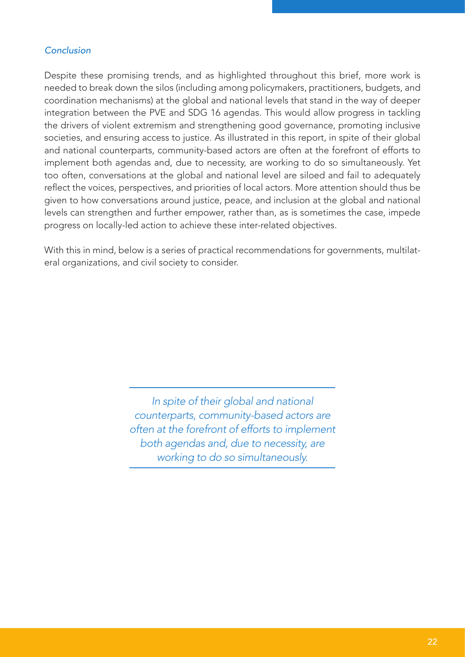## Conclusion

Despite these promising trends, and as highlighted throughout this brief, more work is needed to break down the silos (including among policymakers, practitioners, budgets, and coordination mechanisms) at the global and national levels that stand in the way of deeper integration between the PVE and SDG 16 agendas. This would allow progress in tackling the drivers of violent extremism and strengthening good governance, promoting inclusive societies, and ensuring access to justice. As illustrated in this report, in spite of their global and national counterparts, community-based actors are often at the forefront of efforts to implement both agendas and, due to necessity, are working to do so simultaneously. Yet too often, conversations at the global and national level are siloed and fail to adequately reflect the voices, perspectives, and priorities of local actors. More attention should thus be given to how conversations around justice, peace, and inclusion at the global and national levels can strengthen and further empower, rather than, as is sometimes the case, impede progress on locally-led action to achieve these inter-related objectives.

With this in mind, below is a series of practical recommendations for governments, multilateral organizations, and civil society to consider.

> *In spite of their global and national counterparts, community-based actors are often at the forefront of efforts to implement both agendas and, due to necessity, are working to do so simultaneously.*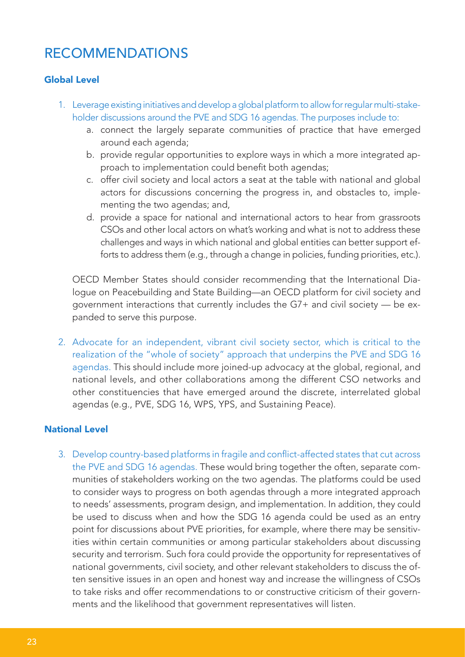# RECOMMENDATIONS

## Global Level

- 1. Leverage existing initiatives and develop a global platform to allow for regular multi-stakeholder discussions around the PVE and SDG 16 agendas. The purposes include to:
	- a. connect the largely separate communities of practice that have emerged around each agenda;
	- b. provide regular opportunities to explore ways in which a more integrated approach to implementation could benefit both agendas;
	- c. offer civil society and local actors a seat at the table with national and global actors for discussions concerning the progress in, and obstacles to, implementing the two agendas; and,
	- d. provide a space for national and international actors to hear from grassroots CSOs and other local actors on what's working and what is not to address these challenges and ways in which national and global entities can better support efforts to address them (e.g., through a change in policies, funding priorities, etc.).

OECD Member States should consider recommending that the International Dialogue on Peacebuilding and State Building—an OECD platform for civil society and government interactions that currently includes the G7+ and civil society — be expanded to serve this purpose.

2. Advocate for an independent, vibrant civil society sector, which is critical to the realization of the "whole of society" approach that underpins the PVE and SDG 16 agendas. This should include more joined-up advocacy at the global, regional, and national levels, and other collaborations among the different CSO networks and other constituencies that have emerged around the discrete, interrelated global agendas (e.g., PVE, SDG 16, WPS, YPS, and Sustaining Peace).

#### National Level

3. Develop country-based platforms in fragile and conflict-affected states that cut across the PVE and SDG 16 agendas. These would bring together the often, separate communities of stakeholders working on the two agendas. The platforms could be used to consider ways to progress on both agendas through a more integrated approach to needs' assessments, program design, and implementation. In addition, they could be used to discuss when and how the SDG 16 agenda could be used as an entry point for discussions about PVE priorities, for example, where there may be sensitivities within certain communities or among particular stakeholders about discussing security and terrorism. Such fora could provide the opportunity for representatives of national governments, civil society, and other relevant stakeholders to discuss the often sensitive issues in an open and honest way and increase the willingness of CSOs to take risks and offer recommendations to or constructive criticism of their governments and the likelihood that government representatives will listen.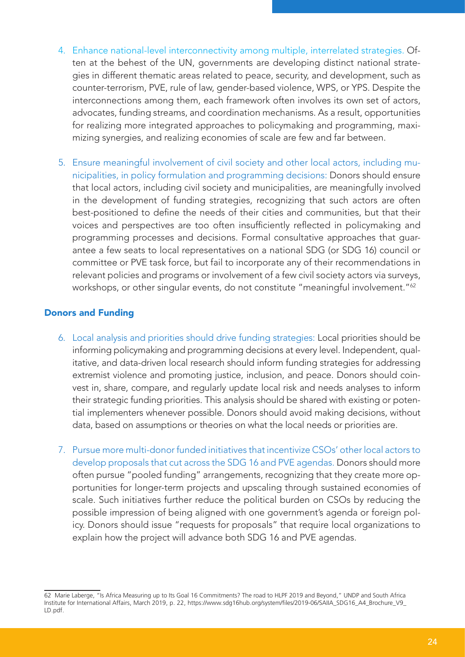- 4. Enhance national-level interconnectivity among multiple, interrelated strategies. Often at the behest of the UN, governments are developing distinct national strategies in different thematic areas related to peace, security, and development, such as counter-terrorism, PVE, rule of law, gender-based violence, WPS, or YPS. Despite the interconnections among them, each framework often involves its own set of actors, advocates, funding streams, and coordination mechanisms. As a result, opportunities for realizing more integrated approaches to policymaking and programming, maximizing synergies, and realizing economies of scale are few and far between.
- 5. Ensure meaningful involvement of civil society and other local actors, including municipalities, in policy formulation and programming decisions: Donors should ensure that local actors, including civil society and municipalities, are meaningfully involved in the development of funding strategies, recognizing that such actors are often best-positioned to define the needs of their cities and communities, but that their voices and perspectives are too often insufficiently reflected in policymaking and programming processes and decisions. Formal consultative approaches that guarantee a few seats to local representatives on a national SDG (or SDG 16) council or committee or PVE task force, but fail to incorporate any of their recommendations in relevant policies and programs or involvement of a few civil society actors via surveys, workshops, or other singular events, do not constitute "meaningful involvement."<sup>62</sup>

#### Donors and Funding

- 6. Local analysis and priorities should drive funding strategies: Local priorities should be informing policymaking and programming decisions at every level. Independent, qualitative, and data-driven local research should inform funding strategies for addressing extremist violence and promoting justice, inclusion, and peace. Donors should coinvest in, share, compare, and regularly update local risk and needs analyses to inform their strategic funding priorities. This analysis should be shared with existing or potential implementers whenever possible. Donors should avoid making decisions, without data, based on assumptions or theories on what the local needs or priorities are.
- 7. Pursue more multi-donor funded initiatives that incentivize CSOs' other local actors to develop proposals that cut across the SDG 16 and PVE agendas. Donors should more often pursue "pooled funding" arrangements, recognizing that they create more opportunities for longer-term projects and upscaling through sustained economies of scale. Such initiatives further reduce the political burden on CSOs by reducing the possible impression of being aligned with one government's agenda or foreign policy. Donors should issue "requests for proposals" that require local organizations to explain how the project will advance both SDG 16 and PVE agendas.

<sup>62</sup> Marie Laberge, "Is Africa Measuring up to Its Goal 16 Commitments? The road to HLPF 2019 and Beyond," UNDP and South Africa Institute for International Affairs, March 2019, p. 22, https://www.sdg16hub.org/system/files/2019-06/SAIIA\_SDG16\_A4\_Brochure\_V9\_ LD.pdf.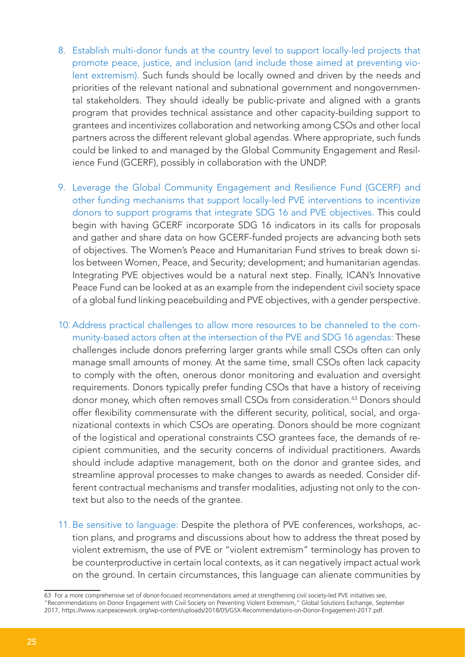- 8. Establish multi-donor funds at the country level to support locally-led projects that promote peace, justice, and inclusion (and include those aimed at preventing violent extremism). Such funds should be locally owned and driven by the needs and priorities of the relevant national and subnational government and nongovernmental stakeholders. They should ideally be public-private and aligned with a grants program that provides technical assistance and other capacity-building support to grantees and incentivizes collaboration and networking among CSOs and other local partners across the different relevant global agendas. Where appropriate, such funds could be linked to and managed by the Global Community Engagement and Resilience Fund (GCERF), possibly in collaboration with the UNDP.
- 9. Leverage the Global Community Engagement and Resilience Fund (GCERF) and other funding mechanisms that support locally-led PVE interventions to incentivize donors to support programs that integrate SDG 16 and PVE objectives. This could begin with having GCERF incorporate SDG 16 indicators in its calls for proposals and gather and share data on how GCERF-funded projects are advancing both sets of objectives. The Women's Peace and Humanitarian Fund strives to break down silos between Women, Peace, and Security; development; and humanitarian agendas. Integrating PVE objectives would be a natural next step. Finally, ICAN's Innovative Peace Fund can be looked at as an example from the independent civil society space of a global fund linking peacebuilding and PVE objectives, with a gender perspective.
- 10. Address practical challenges to allow more resources to be channeled to the community-based actors often at the intersection of the PVE and SDG 16 agendas: These challenges include donors preferring larger grants while small CSOs often can only manage small amounts of money. At the same time, small CSOs often lack capacity to comply with the often, onerous donor monitoring and evaluation and oversight requirements. Donors typically prefer funding CSOs that have a history of receiving donor money, which often removes small CSOs from consideration.<sup>63</sup> Donors should offer flexibility commensurate with the different security, political, social, and organizational contexts in which CSOs are operating. Donors should be more cognizant of the logistical and operational constraints CSO grantees face, the demands of recipient communities, and the security concerns of individual practitioners. Awards should include adaptive management, both on the donor and grantee sides, and streamline approval processes to make changes to awards as needed. Consider different contractual mechanisms and transfer modalities, adjusting not only to the context but also to the needs of the grantee.
- 11. Be sensitive to language: Despite the plethora of PVE conferences, workshops, action plans, and programs and discussions about how to address the threat posed by violent extremism, the use of PVE or "violent extremism" terminology has proven to be counterproductive in certain local contexts, as it can negatively impact actual work on the ground. In certain circumstances, this language can alienate communities by

<sup>63</sup> For a more comprehensive set of donor-focused recommendations aimed at strengthening civil society-led PVE initiatives see, "Recommendations on Donor Engagement with Civil Society on Preventing Violent Extremism," Global Solutions Exchange, September 2017, https://www.icanpeacework.org/wp-content/uploads/2018/05/GSX-Recommendations-on-Donor-Engagement-2017.pdf.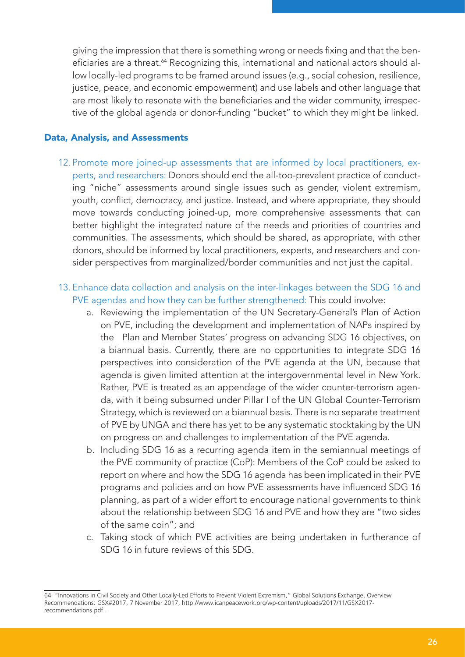giving the impression that there is something wrong or needs fixing and that the beneficiaries are a threat.<sup>64</sup> Recognizing this, international and national actors should allow locally-led programs to be framed around issues (e.g., social cohesion, resilience, justice, peace, and economic empowerment) and use labels and other language that are most likely to resonate with the beneficiaries and the wider community, irrespective of the global agenda or donor-funding "bucket" to which they might be linked.

#### Data, Analysis, and Assessments

- 12. Promote more joined-up assessments that are informed by local practitioners, experts, and researchers: Donors should end the all-too-prevalent practice of conducting "niche" assessments around single issues such as gender, violent extremism, youth, conflict, democracy, and justice. Instead, and where appropriate, they should move towards conducting joined-up, more comprehensive assessments that can better highlight the integrated nature of the needs and priorities of countries and communities. The assessments, which should be shared, as appropriate, with other donors, should be informed by local practitioners, experts, and researchers and consider perspectives from marginalized/border communities and not just the capital.
- 13. Enhance data collection and analysis on the inter-linkages between the SDG 16 and PVE agendas and how they can be further strengthened: This could involve:
	- a. Reviewing the implementation of the UN Secretary-General's Plan of Action on PVE, including the development and implementation of NAPs inspired by the Plan and Member States' progress on advancing SDG 16 objectives, on a biannual basis. Currently, there are no opportunities to integrate SDG 16 perspectives into consideration of the PVE agenda at the UN, because that agenda is given limited attention at the intergovernmental level in New York. Rather, PVE is treated as an appendage of the wider counter-terrorism agenda, with it being subsumed under Pillar I of the UN Global Counter-Terrorism Strategy, which is reviewed on a biannual basis. There is no separate treatment of PVE by UNGA and there has yet to be any systematic stocktaking by the UN on progress on and challenges to implementation of the PVE agenda.
	- b. Including SDG 16 as a recurring agenda item in the semiannual meetings of the PVE community of practice (CoP): Members of the CoP could be asked to report on where and how the SDG 16 agenda has been implicated in their PVE programs and policies and on how PVE assessments have influenced SDG 16 planning, as part of a wider effort to encourage national governments to think about the relationship between SDG 16 and PVE and how they are "two sides of the same coin"; and
	- c. Taking stock of which PVE activities are being undertaken in furtherance of SDG 16 in future reviews of this SDG.

<sup>64 &</sup>quot;Innovations in Civil Society and Other Locally-Led Efforts to Prevent Violent Extremism," Global Solutions Exchange, Overview Recommendations: GSX#2017, 7 November 2017, http://www.icanpeacework.org/wp-content/uploads/2017/11/GSX2017 recommendations.pdf .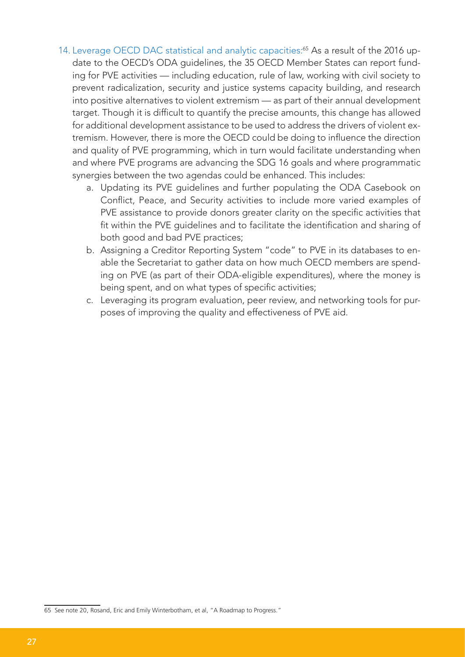- 14. Leverage OECD DAC statistical and analytic capacities:<sup>65</sup> As a result of the 2016 update to the OECD's ODA guidelines, the 35 OECD Member States can report funding for PVE activities — including education, rule of law, working with civil society to prevent radicalization, security and justice systems capacity building, and research into positive alternatives to violent extremism — as part of their annual development target. Though it is difficult to quantify the precise amounts, this change has allowed for additional development assistance to be used to address the drivers of violent extremism. However, there is more the OECD could be doing to influence the direction and quality of PVE programming, which in turn would facilitate understanding when and where PVE programs are advancing the SDG 16 goals and where programmatic synergies between the two agendas could be enhanced. This includes:
	- a. Updating its PVE guidelines and further populating the ODA Casebook on Conflict, Peace, and Security activities to include more varied examples of PVE assistance to provide donors greater clarity on the specific activities that fit within the PVE guidelines and to facilitate the identification and sharing of both good and bad PVE practices;
	- b. Assigning a Creditor Reporting System "code" to PVE in its databases to enable the Secretariat to gather data on how much OECD members are spending on PVE (as part of their ODA-eligible expenditures), where the money is being spent, and on what types of specific activities;
	- c. Leveraging its program evaluation, peer review, and networking tools for purposes of improving the quality and effectiveness of PVE aid.

<sup>65</sup> See note 20, Rosand, Eric and Emily Winterbotham, et al, "A Roadmap to Progress."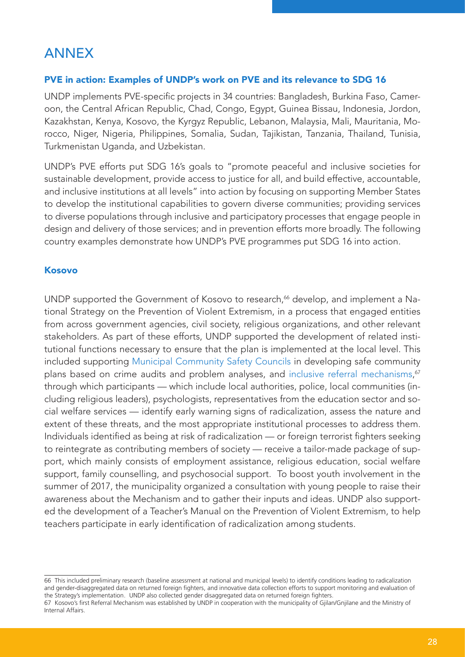# ANNEX

#### PVE in action: Examples of UNDP's work on PVE and its relevance to SDG 16

UNDP implements PVE-specific projects in 34 countries: Bangladesh, Burkina Faso, Cameroon, the Central African Republic, Chad, Congo, Egypt, Guinea Bissau, Indonesia, Jordon, Kazakhstan, Kenya, Kosovo, the Kyrgyz Republic, Lebanon, Malaysia, Mali, Mauritania, Morocco, Niger, Nigeria, Philippines, Somalia, Sudan, Tajikistan, Tanzania, Thailand, Tunisia, Turkmenistan Uganda, and Uzbekistan.

UNDP's PVE efforts put SDG 16's goals to "promote peaceful and inclusive societies for sustainable development, provide access to justice for all, and build effective, accountable, and inclusive institutions at all levels" into action by focusing on supporting Member States to develop the institutional capabilities to govern diverse communities; providing services to diverse populations through inclusive and participatory processes that engage people in design and delivery of those services; and in prevention efforts more broadly. The following country examples demonstrate how UNDP's PVE programmes put SDG 16 into action.

#### Kosovo

UNDP supported the Government of Kosovo to research,<sup>66</sup> develop, and implement a National Strategy on the Prevention of Violent Extremism, in a process that engaged entities from across government agencies, civil society, religious organizations, and other relevant stakeholders. As part of these efforts, UNDP supported the development of related institutional functions necessary to ensure that the plan is implemented at the local level. This included supporting Municipal Community Safety Councils in developing safe community plans based on crime audits and problem analyses, and inclusive referral mechanisms,<sup>67</sup> through which participants — which include local authorities, police, local communities (including religious leaders), psychologists, representatives from the education sector and social welfare services — identify early warning signs of radicalization, assess the nature and extent of these threats, and the most appropriate institutional processes to address them. Individuals identified as being at risk of radicalization — or foreign terrorist fighters seeking to reintegrate as contributing members of society — receive a tailor-made package of support, which mainly consists of employment assistance, religious education, social welfare support, family counselling, and psychosocial support. To boost youth involvement in the summer of 2017, the municipality organized a consultation with young people to raise their awareness about the Mechanism and to gather their inputs and ideas. UNDP also supported the development of a Teacher's Manual on the Prevention of Violent Extremism, to help teachers participate in early identification of radicalization among students.

<sup>66</sup> This included preliminary research (baseline assessment at national and municipal levels) to identify conditions leading to radicalization and gender-disaggregated data on returned foreign fighters, and innovative data collection efforts to support monitoring and evaluation of the Strategy's implementation. UNDP also collected gender disaggregated data on returned foreign fighters.

<sup>67</sup> Kosovo's first Referral Mechanism was established by UNDP in cooperation with the municipality of Gjilan/Gnjilane and the Ministry of Internal Affairs.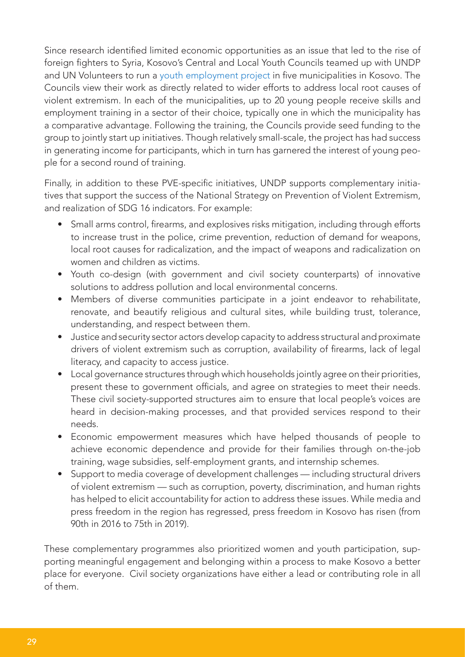Since research identified limited economic opportunities as an issue that led to the rise of foreign fighters to Syria, Kosovo's Central and Local Youth Councils teamed up with UNDP and UN Volunteers to run a youth employment project in five municipalities in Kosovo. The Councils view their work as directly related to wider efforts to address local root causes of violent extremism. In each of the municipalities, up to 20 young people receive skills and employment training in a sector of their choice, typically one in which the municipality has a comparative advantage. Following the training, the Councils provide seed funding to the group to jointly start up initiatives. Though relatively small-scale, the project has had success in generating income for participants, which in turn has garnered the interest of young people for a second round of training.

Finally, in addition to these PVE-specific initiatives, UNDP supports complementary initiatives that support the success of the National Strategy on Prevention of Violent Extremism, and realization of SDG 16 indicators. For example:

- Small arms control, firearms, and explosives risks mitigation, including through efforts to increase trust in the police, crime prevention, reduction of demand for weapons, local root causes for radicalization, and the impact of weapons and radicalization on women and children as victims.
- Youth co-design (with government and civil society counterparts) of innovative solutions to address pollution and local environmental concerns.
- Members of diverse communities participate in a joint endeavor to rehabilitate, renovate, and beautify religious and cultural sites, while building trust, tolerance, understanding, and respect between them.
- Justice and security sector actors develop capacity to address structural and proximate drivers of violent extremism such as corruption, availability of firearms, lack of legal literacy, and capacity to access justice.
- Local governance structures through which households jointly agree on their priorities, present these to government officials, and agree on strategies to meet their needs. These civil society-supported structures aim to ensure that local people's voices are heard in decision-making processes, and that provided services respond to their needs.
- Economic empowerment measures which have helped thousands of people to achieve economic dependence and provide for their families through on-the-job training, wage subsidies, self-employment grants, and internship schemes.
- Support to media coverage of development challenges including structural drivers of violent extremism — such as corruption, poverty, discrimination, and human rights has helped to elicit accountability for action to address these issues. While media and press freedom in the region has regressed, press freedom in Kosovo has risen (from 90th in 2016 to 75th in 2019).

These complementary programmes also prioritized women and youth participation, supporting meaningful engagement and belonging within a process to make Kosovo a better place for everyone. Civil society organizations have either a lead or contributing role in all of them.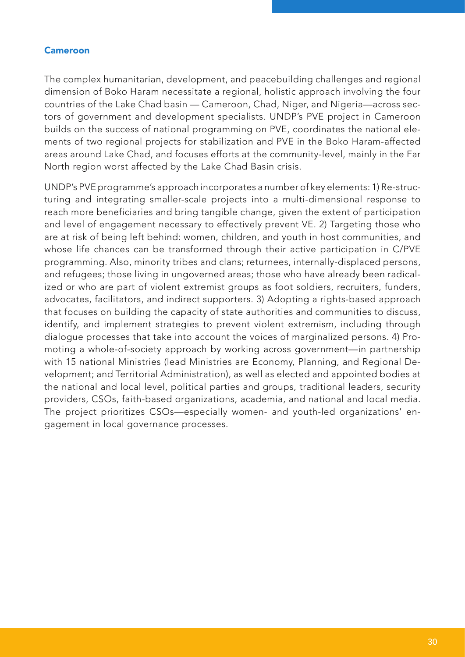#### Cameroon

The complex humanitarian, development, and peacebuilding challenges and regional dimension of Boko Haram necessitate a regional, holistic approach involving the four countries of the Lake Chad basin — Cameroon, Chad, Niger, and Nigeria—across sectors of government and development specialists. UNDP's PVE project in Cameroon builds on the success of national programming on PVE, coordinates the national elements of two regional projects for stabilization and PVE in the Boko Haram-affected areas around Lake Chad, and focuses efforts at the community-level, mainly in the Far North region worst affected by the Lake Chad Basin crisis.

UNDP's PVE programme's approach incorporates a number of key elements: 1) Re-structuring and integrating smaller-scale projects into a multi-dimensional response to reach more beneficiaries and bring tangible change, given the extent of participation and level of engagement necessary to effectively prevent VE. 2) Targeting those who are at risk of being left behind: women, children, and youth in host communities, and whose life chances can be transformed through their active participation in C/PVE programming. Also, minority tribes and clans; returnees, internally-displaced persons, and refugees; those living in ungoverned areas; those who have already been radicalized or who are part of violent extremist groups as foot soldiers, recruiters, funders, advocates, facilitators, and indirect supporters. 3) Adopting a rights-based approach that focuses on building the capacity of state authorities and communities to discuss, identify, and implement strategies to prevent violent extremism, including through dialogue processes that take into account the voices of marginalized persons. 4) Promoting a whole-of-society approach by working across government—in partnership with 15 national Ministries (lead Ministries are Economy, Planning, and Regional Development; and Territorial Administration), as well as elected and appointed bodies at the national and local level, political parties and groups, traditional leaders, security providers, CSOs, faith-based organizations, academia, and national and local media. The project prioritizes CSOs—especially women- and youth-led organizations' engagement in local governance processes.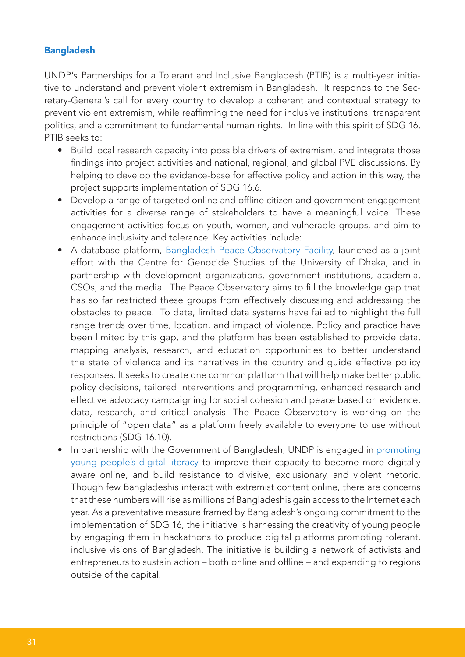## Bangladesh

UNDP's Partnerships for a Tolerant and Inclusive Bangladesh (PTIB) is a multi-year initiative to understand and prevent violent extremism in Bangladesh. It responds to the Secretary-General's call for every country to develop a coherent and contextual strategy to prevent violent extremism, while reaffirming the need for inclusive institutions, transparent politics, and a commitment to fundamental human rights. In line with this spirit of SDG 16, PTIB seeks to:

- Build local research capacity into possible drivers of extremism, and integrate those findings into project activities and national, regional, and global PVE discussions. By helping to develop the evidence-base for effective policy and action in this way, the project supports implementation of SDG 16.6.
- Develop a range of targeted online and offline citizen and government engagement activities for a diverse range of stakeholders to have a meaningful voice. These engagement activities focus on youth, women, and vulnerable groups, and aim to enhance inclusivity and tolerance. Key activities include:
- A database platform, Bangladesh Peace Observatory Facility, launched as a joint effort with the Centre for Genocide Studies of the University of Dhaka, and in partnership with development organizations, government institutions, academia, CSOs, and the media. The Peace Observatory aims to fill the knowledge gap that has so far restricted these groups from effectively discussing and addressing the obstacles to peace. To date, limited data systems have failed to highlight the full range trends over time, location, and impact of violence. Policy and practice have been limited by this gap, and the platform has been established to provide data, mapping analysis, research, and education opportunities to better understand the state of violence and its narratives in the country and guide effective policy responses. It seeks to create one common platform that will help make better public policy decisions, tailored interventions and programming, enhanced research and effective advocacy campaigning for social cohesion and peace based on evidence, data, research, and critical analysis. The Peace Observatory is working on the principle of "open data" as a platform freely available to everyone to use without restrictions (SDG 16.10).
- In partnership with the Government of Bangladesh, UNDP is engaged in promoting young people's digital literacy to improve their capacity to become more digitally aware online, and build resistance to divisive, exclusionary, and violent rhetoric. Though few Bangladeshis interact with extremist content online, there are concerns that these numbers will rise as millions of Bangladeshis gain access to the Internet each year. As a preventative measure framed by Bangladesh's ongoing commitment to the implementation of SDG 16, the initiative is harnessing the creativity of young people by engaging them in hackathons to produce digital platforms promoting tolerant, inclusive visions of Bangladesh. The initiative is building a network of activists and entrepreneurs to sustain action – both online and offline – and expanding to regions outside of the capital.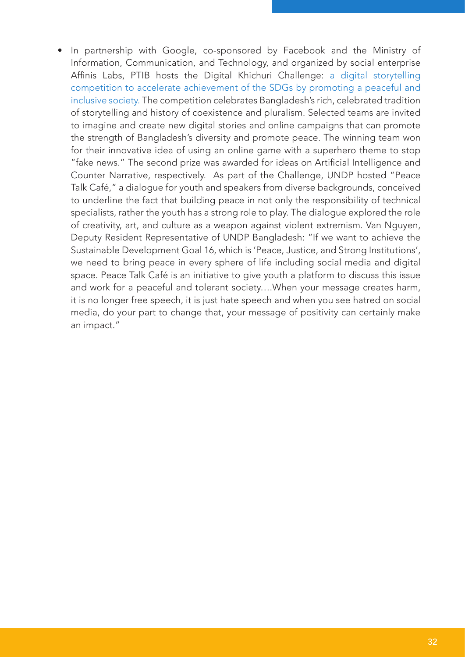• In partnership with Google, co-sponsored by Facebook and the Ministry of Information, Communication, and Technology, and organized by social enterprise Affinis Labs, PTIB hosts the Digital Khichuri Challenge: a digital storytelling competition to accelerate achievement of the SDGs by promoting a peaceful and inclusive society. The competition celebrates Bangladesh's rich, celebrated tradition of storytelling and history of coexistence and pluralism. Selected teams are invited to imagine and create new digital stories and online campaigns that can promote the strength of Bangladesh's diversity and promote peace. The winning team won for their innovative idea of using an online game with a superhero theme to stop "fake news." The second prize was awarded for ideas on Artificial Intelligence and Counter Narrative, respectively. As part of the Challenge, UNDP hosted "Peace Talk Café," a dialogue for youth and speakers from diverse backgrounds, conceived to underline the fact that building peace in not only the responsibility of technical specialists, rather the youth has a strong role to play. The dialogue explored the role of creativity, art, and culture as a weapon against violent extremism. Van Nguyen, Deputy Resident Representative of UNDP Bangladesh: "If we want to achieve the Sustainable Development Goal 16, which is 'Peace, Justice, and Strong Institutions', we need to bring peace in every sphere of life including social media and digital space. Peace Talk Café is an initiative to give youth a platform to discuss this issue and work for a peaceful and tolerant society….When your message creates harm, it is no longer free speech, it is just hate speech and when you see hatred on social media, do your part to change that, your message of positivity can certainly make an impact."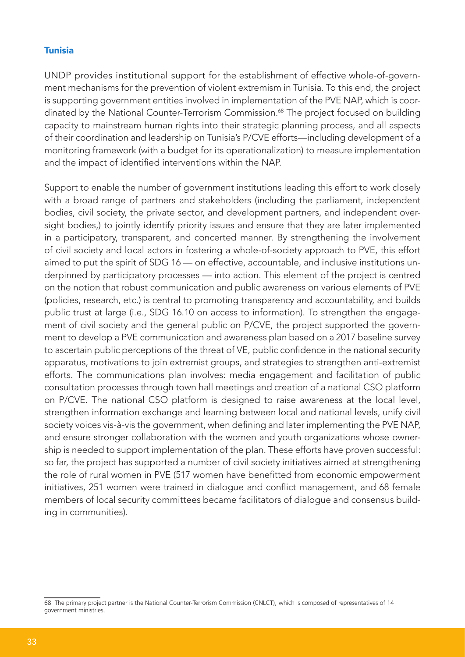#### Tunisia

UNDP provides institutional support for the establishment of effective whole-of-government mechanisms for the prevention of violent extremism in Tunisia. To this end, the project is supporting government entities involved in implementation of the PVE NAP, which is coordinated by the National Counter-Terrorism Commission.<sup>68</sup> The project focused on building capacity to mainstream human rights into their strategic planning process, and all aspects of their coordination and leadership on Tunisia's P/CVE efforts—including development of a monitoring framework (with a budget for its operationalization) to measure implementation and the impact of identified interventions within the NAP.

Support to enable the number of government institutions leading this effort to work closely with a broad range of partners and stakeholders (including the parliament, independent bodies, civil society, the private sector, and development partners, and independent oversight bodies,) to jointly identify priority issues and ensure that they are later implemented in a participatory, transparent, and concerted manner. By strengthening the involvement of civil society and local actors in fostering a whole-of-society approach to PVE, this effort aimed to put the spirit of SDG 16 — on effective, accountable, and inclusive institutions underpinned by participatory processes — into action. This element of the project is centred on the notion that robust communication and public awareness on various elements of PVE (policies, research, etc.) is central to promoting transparency and accountability, and builds public trust at large (i.e., SDG 16.10 on access to information). To strengthen the engagement of civil society and the general public on P/CVE, the project supported the government to develop a PVE communication and awareness plan based on a 2017 baseline survey to ascertain public perceptions of the threat of VE, public confidence in the national security apparatus, motivations to join extremist groups, and strategies to strengthen anti-extremist efforts. The communications plan involves: media engagement and facilitation of public consultation processes through town hall meetings and creation of a national CSO platform on P/CVE. The national CSO platform is designed to raise awareness at the local level, strengthen information exchange and learning between local and national levels, unify civil society voices vis-à-vis the government, when defining and later implementing the PVE NAP, and ensure stronger collaboration with the women and youth organizations whose ownership is needed to support implementation of the plan. These efforts have proven successful: so far, the project has supported a number of civil society initiatives aimed at strengthening the role of rural women in PVE (517 women have benefitted from economic empowerment initiatives, 251 women were trained in dialogue and conflict management, and 68 female members of local security committees became facilitators of dialogue and consensus building in communities).

<sup>68</sup> The primary project partner is the National Counter-Terrorism Commission (CNLCT), which is composed of representatives of 14 government ministries.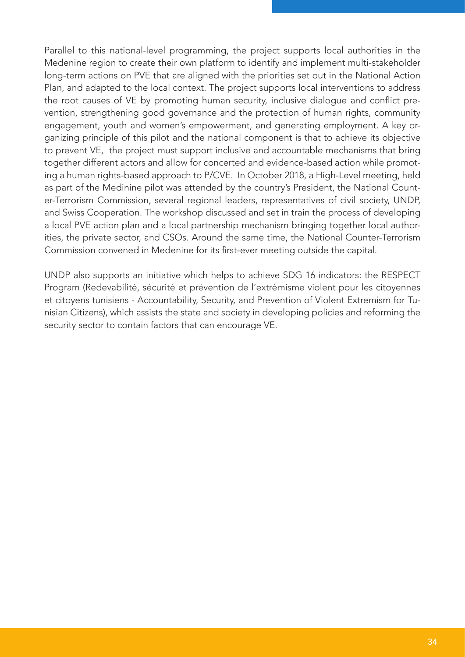Parallel to this national-level programming, the project supports local authorities in the Medenine region to create their own platform to identify and implement multi-stakeholder long-term actions on PVE that are aligned with the priorities set out in the National Action Plan, and adapted to the local context. The project supports local interventions to address the root causes of VE by promoting human security, inclusive dialogue and conflict prevention, strengthening good governance and the protection of human rights, community engagement, youth and women's empowerment, and generating employment. A key organizing principle of this pilot and the national component is that to achieve its objective to prevent VE, the project must support inclusive and accountable mechanisms that bring together different actors and allow for concerted and evidence-based action while promoting a human rights-based approach to P/CVE. In October 2018, a High-Level meeting, held as part of the Medinine pilot was attended by the country's President, the National Counter-Terrorism Commission, several regional leaders, representatives of civil society, UNDP, and Swiss Cooperation. The workshop discussed and set in train the process of developing a local PVE action plan and a local partnership mechanism bringing together local authorities, the private sector, and CSOs. Around the same time, the National Counter-Terrorism Commission convened in Medenine for its first-ever meeting outside the capital.

UNDP also supports an initiative which helps to achieve SDG 16 indicators: the RESPECT Program (Redevabilité, sécurité et prévention de l'extrémisme violent pour les citoyennes et citoyens tunisiens - Accountability, Security, and Prevention of Violent Extremism for Tunisian Citizens), which assists the state and society in developing policies and reforming the security sector to contain factors that can encourage VE.